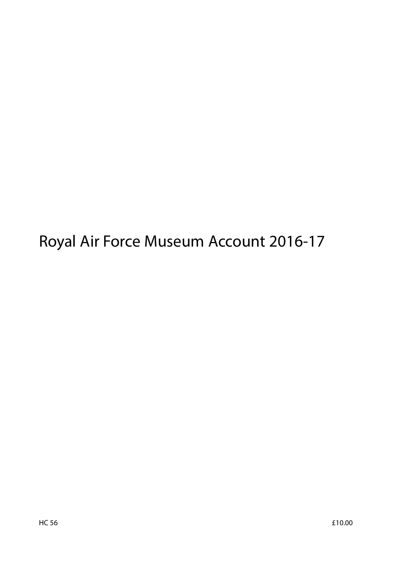Royal Air Force Museum Account 2016-17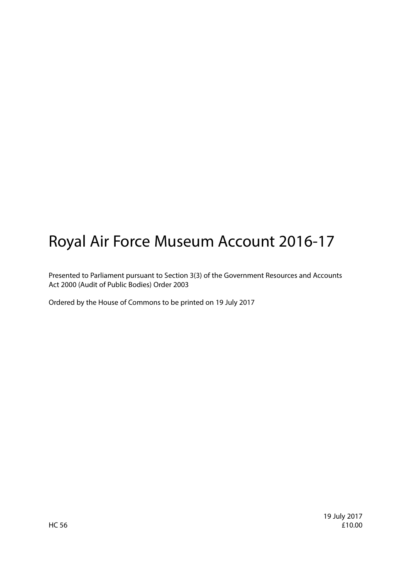# Royal Air Force Museum Account 2016-17

Presented to Parliament pursuant to Section 3(3) of the Government Resources and Accounts Act 2000 (Audit of Public Bodies) Order 2003

Ordered by the House of Commons to be printed on 19 July 2017

19 July 2017  $H$ C 56  $f$ 10.00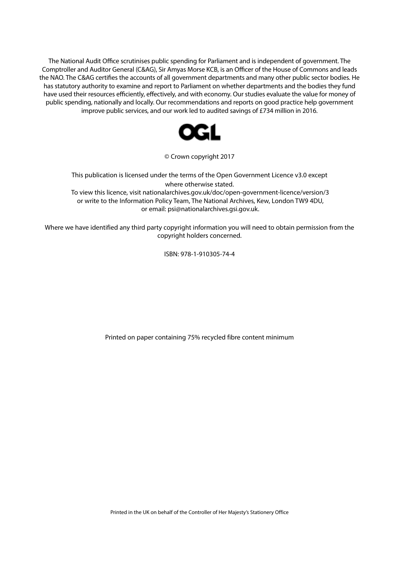The National Audit Office scrutinises public spending for Parliament and is independent of government. The Comptroller and Auditor General (C&AG), Sir Amyas Morse KCB, is an Officer of the House of Commons and leads the NAO. The C&AG certifies the accounts of all government departments and many other public sector bodies. He has statutory authority to examine and report to Parliament on whether departments and the bodies they fund have used their resources efficiently, effectively, and with economy. Our studies evaluate the value for money of public spending, nationally and locally. Our recommendations and reports on good practice help government improve public services, and our work led to audited savings of £734 million in 2016.



© Crown copyright 2017

This publication is licensed under the terms of the Open Government Licence v3.0 except where otherwise stated. To view this licence, visit nationalarchives.gov.uk/doc/open-government-licence/version/3 or write to the Information Policy Team, The National Archives, Kew, London TW9 4DU, or email: psi@nationalarchives.gsi.gov.uk.

Where we have identified any third party copyright information you will need to obtain permission from the copyright holders concerned.

ISBN: 978-1-910305-74-4

Printed on paper containing 75% recycled fibre content minimum

Printed in the UK on behalf of the Controller of Her Majesty's Stationery Office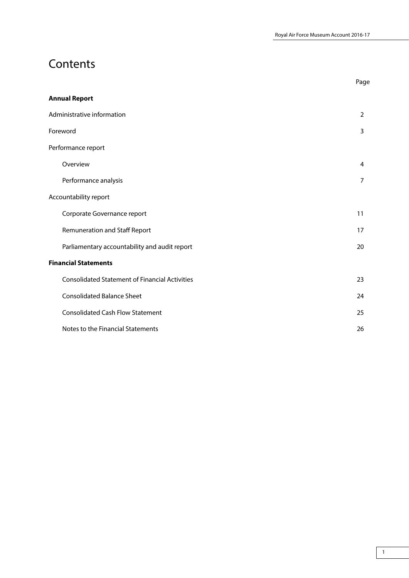## **Contents**

|                                                       | Page           |
|-------------------------------------------------------|----------------|
| <b>Annual Report</b>                                  |                |
| Administrative information                            | $\overline{2}$ |
| Foreword                                              | 3              |
| Performance report                                    |                |
| Overview                                              | 4              |
| Performance analysis                                  | $\overline{7}$ |
| Accountability report                                 |                |
| Corporate Governance report                           | 11             |
| Remuneration and Staff Report                         | 17             |
| Parliamentary accountability and audit report         | 20             |
| <b>Financial Statements</b>                           |                |
| <b>Consolidated Statement of Financial Activities</b> | 23             |
| <b>Consolidated Balance Sheet</b>                     | 24             |
| <b>Consolidated Cash Flow Statement</b>               | 25             |
| Notes to the Financial Statements                     | 26             |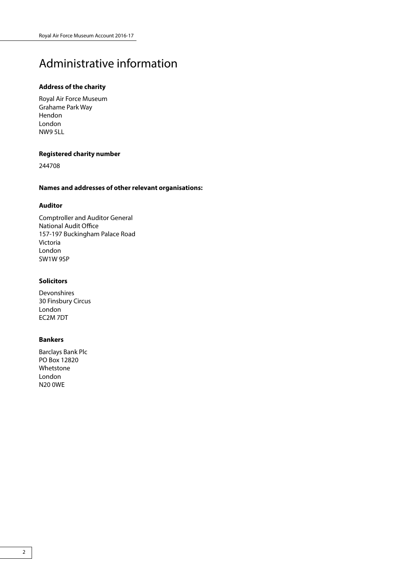## Administrative information

### **Address of the charity**

Royal Air Force Museum Grahame Park Way Hendon London NW9 5LL

### **Registered charity number**

244708

## **Names and addresses of other relevant organisations:**

### **Auditor**

Comptroller and Auditor General National Audit Office 157-197 Buckingham Palace Road Victoria London SW1W 9SP

### **Solicitors**

Devonshires 30 Finsbury Circus London EC2M 7DT

### **Bankers**

Barclays Bank Plc PO Box 12820 Whetstone London N20 0WE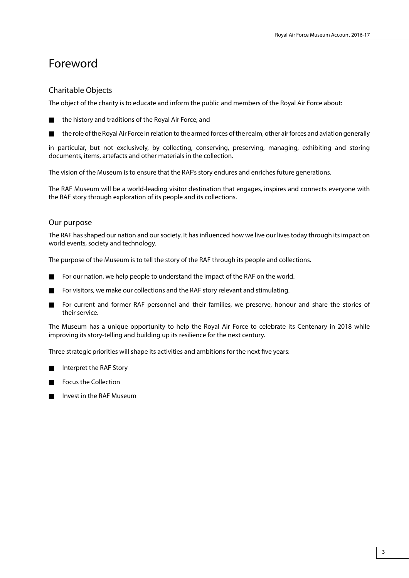## Foreword

## Charitable Objects

The object of the charity is to educate and inform the public and members of the Royal Air Force about:



 $\blacksquare$  the role of the Royal Air Force in relation to the armed forces of the realm, other air forces and aviation generally

in particular, but not exclusively, by collecting, conserving, preserving, managing, exhibiting and storing documents, items, artefacts and other materials in the collection.

The vision of the Museum is to ensure that the RAF's story endures and enriches future generations.

The RAF Museum will be a world-leading visitor destination that engages, inspires and connects everyone with the RAF story through exploration of its people and its collections.

## Our purpose

The RAF has shaped our nation and our society. It has influenced how we live our lives today through its impact on world events, society and technology.

The purpose of the Museum is to tell the story of the RAF through its people and collections.

- For our nation, we help people to understand the impact of the RAF on the world.
- For visitors, we make our collections and the RAF story relevant and stimulating.
- For current and former RAF personnel and their families, we preserve, honour and share the stories of their service.

The Museum has a unique opportunity to help the Royal Air Force to celebrate its Centenary in 2018 while improving its story-telling and building up its resilience for the next century.

Three strategic priorities will shape its activities and ambitions for the next five years:

- Interpret the RAF Story
- Focus the Collection
- n Invest in the RAF Museum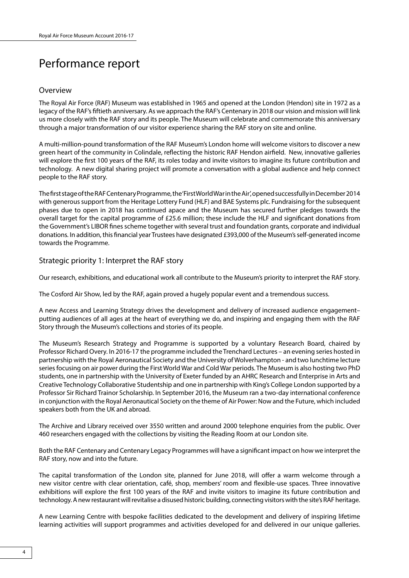## Performance report

### Overview

The Royal Air Force (RAF) Museum was established in 1965 and opened at the London (Hendon) site in 1972 as a legacy of the RAF's fiftieth anniversary. As we approach the RAF's Centenary in 2018 our vision and mission will link us more closely with the RAF story and its people. The Museum will celebrate and commemorate this anniversary through a major transformation of our visitor experience sharing the RAF story on site and online.

A multi-million-pound transformation of the RAF Museum's London home will welcome visitors to discover a new green heart of the community in Colindale, reflecting the historic RAF Hendon airfield. New, innovative galleries will explore the first 100 years of the RAF, its roles today and invite visitors to imagine its future contribution and technology. A new digital sharing project will promote a conversation with a global audience and help connect people to the RAF story.

The first stage of the RAF Centenary Programme, the 'First World War in the Air', opened successfully in December 2014 with generous support from the Heritage Lottery Fund (HLF) and BAE Systems plc. Fundraising for the subsequent phases due to open in 2018 has continued apace and the Museum has secured further pledges towards the overall target for the capital programme of £25.6 million; these include the HLF and significant donations from the Government's LIBOR fines scheme together with several trust and foundation grants, corporate and individual donations. In addition, this financial year Trustees have designated £393,000 of the Museum's self-generated income towards the Programme.

### Strategic priority 1: Interpret the RAF story

Our research, exhibitions, and educational work all contribute to the Museum's priority to interpret the RAF story.

The Cosford Air Show, led by the RAF, again proved a hugely popular event and a tremendous success.

A new Access and Learning Strategy drives the development and delivery of increased audience engagement– putting audiences of all ages at the heart of everything we do, and inspiring and engaging them with the RAF Story through the Museum's collections and stories of its people.

The Museum's Research Strategy and Programme is supported by a voluntary Research Board, chaired by Professor Richard Overy. In 2016-17 the programme included the Trenchard Lectures – an evening series hosted in partnership with the Royal Aeronautical Society and the University of Wolverhampton - and two lunchtime lecture series focusing on air power during the First World War and Cold War periods. The Museum is also hosting two PhD students, one in partnership with the University of Exeter funded by an AHRC Research and Enterprise in Arts and Creative Technology Collaborative Studentship and one in partnership with King's College London supported by a Professor Sir Richard Trainor Scholarship. In September 2016, the Museum ran a two-day international conference in conjunction with the Royal Aeronautical Society on the theme of Air Power: Now and the Future, which included speakers both from the UK and abroad.

The Archive and Library received over 3550 written and around 2000 telephone enquiries from the public. Over 460 researchers engaged with the collections by visiting the Reading Room at our London site.

Both the RAF Centenary and Centenary Legacy Programmes will have a significant impact on how we interpret the RAF story, now and into the future.

The capital transformation of the London site, planned for June 2018, will offer a warm welcome through a new visitor centre with clear orientation, café, shop, members' room and flexible-use spaces. Three innovative exhibitions will explore the first 100 years of the RAF and invite visitors to imagine its future contribution and technology. A new restaurant will revitalise a disused historic building, connecting visitors with the site's RAF heritage.

A new Learning Centre with bespoke facilities dedicated to the development and delivery of inspiring lifetime learning activities will support programmes and activities developed for and delivered in our unique galleries.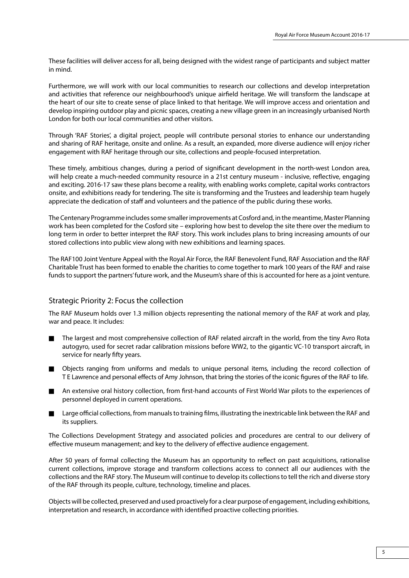These facilities will deliver access for all, being designed with the widest range of participants and subject matter in mind.

Furthermore, we will work with our local communities to research our collections and develop interpretation and activities that reference our neighbourhood's unique airfield heritage. We will transform the landscape at the heart of our site to create sense of place linked to that heritage. We will improve access and orientation and develop inspiring outdoor play and picnic spaces, creating a new village green in an increasingly urbanised North London for both our local communities and other visitors.

Through 'RAF Stories', a digital project, people will contribute personal stories to enhance our understanding and sharing of RAF heritage, onsite and online. As a result, an expanded, more diverse audience will enjoy richer engagement with RAF heritage through our site, collections and people-focused interpretation.

These timely, ambitious changes, during a period of significant development in the north-west London area, will help create a much-needed community resource in a 21st century museum - inclusive, reflective, engaging and exciting. 2016-17 saw these plans become a reality, with enabling works complete, capital works contractors onsite, and exhibitions ready for tendering. The site is transforming and the Trustees and leadership team hugely appreciate the dedication of staff and volunteers and the patience of the public during these works.

The Centenary Programme includes some smaller improvements at Cosford and, in the meantime, Master Planning work has been completed for the Cosford site – exploring how best to develop the site there over the medium to long term in order to better interpret the RAF story. This work includes plans to bring increasing amounts of our stored collections into public view along with new exhibitions and learning spaces.

The RAF100 Joint Venture Appeal with the Royal Air Force, the RAF Benevolent Fund, RAF Association and the RAF Charitable Trust has been formed to enable the charities to come together to mark 100 years of the RAF and raise funds to support the partners' future work, and the Museum's share of this is accounted for here as a joint venture.

### Strategic Priority 2: Focus the collection

The RAF Museum holds over 1.3 million objects representing the national memory of the RAF at work and play, war and peace. It includes:

- n The largest and most comprehensive collection of RAF related aircraft in the world, from the tiny Avro Rota autogyro, used for secret radar calibration missions before WW2, to the gigantic VC-10 transport aircraft, in service for nearly fifty years.
- n Objects ranging from uniforms and medals to unique personal items, including the record collection of T E Lawrence and personal effects of Amy Johnson, that bring the stories of the iconic figures of the RAF to life.
- n An extensive oral history collection, from first-hand accounts of First World War pilots to the experiences of personnel deployed in current operations.
- Large official collections, from manuals to training films, illustrating the inextricable link between the RAF and its suppliers.

The Collections Development Strategy and associated policies and procedures are central to our delivery of effective museum management; and key to the delivery of effective audience engagement.

After 50 years of formal collecting the Museum has an opportunity to reflect on past acquisitions, rationalise current collections, improve storage and transform collections access to connect all our audiences with the collections and the RAF story. The Museum will continue to develop its collections to tell the rich and diverse story of the RAF through its people, culture, technology, timeline and places.

Objects will be collected, preserved and used proactively for a clear purpose of engagement, including exhibitions, interpretation and research, in accordance with identified proactive collecting priorities.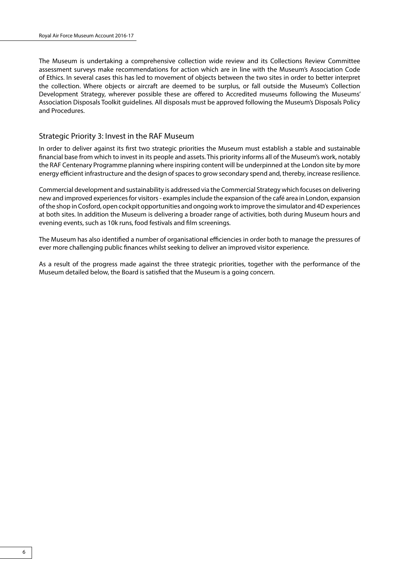The Museum is undertaking a comprehensive collection wide review and its Collections Review Committee assessment surveys make recommendations for action which are in line with the Museum's Association Code of Ethics. In several cases this has led to movement of objects between the two sites in order to better interpret the collection. Where objects or aircraft are deemed to be surplus, or fall outside the Museum's Collection Development Strategy, wherever possible these are offered to Accredited museums following the Museums' Association Disposals Toolkit guidelines. All disposals must be approved following the Museum's Disposals Policy and Procedures.

### Strategic Priority 3: Invest in the RAF Museum

In order to deliver against its first two strategic priorities the Museum must establish a stable and sustainable financial base from which to invest in its people and assets. This priority informs all of the Museum's work, notably the RAF Centenary Programme planning where inspiring content will be underpinned at the London site by more energy efficient infrastructure and the design of spaces to grow secondary spend and, thereby, increase resilience.

Commercial development and sustainability is addressed via the Commercial Strategy which focuses on delivering new and improved experiences for visitors - examples include the expansion of the café area in London, expansion of the shop in Cosford, open cockpit opportunities and ongoing work to improve the simulator and 4D experiences at both sites. In addition the Museum is delivering a broader range of activities, both during Museum hours and evening events, such as 10k runs, food festivals and film screenings.

The Museum has also identified a number of organisational efficiencies in order both to manage the pressures of ever more challenging public finances whilst seeking to deliver an improved visitor experience.

As a result of the progress made against the three strategic priorities, together with the performance of the Museum detailed below, the Board is satisfied that the Museum is a going concern.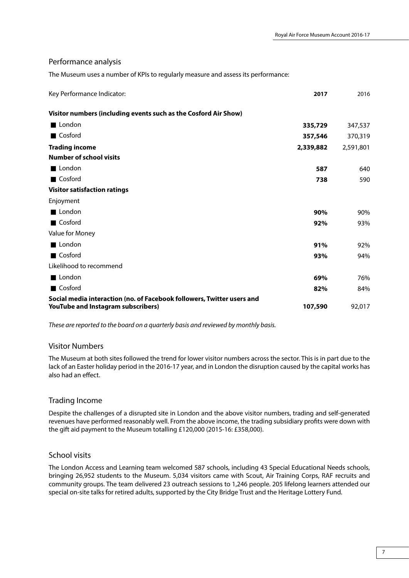### Performance analysis

The Museum uses a number of KPIs to regularly measure and assess its performance:

| Key Performance Indicator:                                                                                   | 2017      | 2016      |
|--------------------------------------------------------------------------------------------------------------|-----------|-----------|
| Visitor numbers (including events such as the Cosford Air Show)                                              |           |           |
| ■ London                                                                                                     | 335,729   | 347,537   |
| ■ Cosford                                                                                                    | 357,546   | 370,319   |
| <b>Trading income</b>                                                                                        | 2,339,882 | 2,591,801 |
| <b>Number of school visits</b>                                                                               |           |           |
| London                                                                                                       | 587       | 640       |
| <b>■ Cosford</b>                                                                                             | 738       | 590       |
| <b>Visitor satisfaction ratings</b>                                                                          |           |           |
| Enjoyment                                                                                                    |           |           |
| London                                                                                                       | 90%       | 90%       |
| <b>■ Cosford</b>                                                                                             | 92%       | 93%       |
| Value for Money                                                                                              |           |           |
| London                                                                                                       | 91%       | 92%       |
| ■ Cosford                                                                                                    | 93%       | 94%       |
| Likelihood to recommend                                                                                      |           |           |
| ■ London                                                                                                     | 69%       | 76%       |
| Cosford                                                                                                      | 82%       | 84%       |
| Social media interaction (no. of Facebook followers, Twitter users and<br>YouTube and Instagram subscribers) | 107,590   | 92,017    |

*These are reported to the board on a quarterly basis and reviewed by monthly basis.*

### Visitor Numbers

The Museum at both sites followed the trend for lower visitor numbers across the sector. This is in part due to the lack of an Easter holiday period in the 2016-17 year, and in London the disruption caused by the capital works has also had an effect.

### Trading Income

Despite the challenges of a disrupted site in London and the above visitor numbers, trading and self-generated revenues have performed reasonably well. From the above income, the trading subsidiary profits were down with the gift aid payment to the Museum totalling £120,000 (2015-16: £358,000).

### School visits

The London Access and Learning team welcomed 587 schools, including 43 Special Educational Needs schools, bringing 26,952 students to the Museum. 5,034 visitors came with Scout, Air Training Corps, RAF recruits and community groups. The team delivered 23 outreach sessions to 1,246 people. 205 lifelong learners attended our special on-site talks for retired adults, supported by the City Bridge Trust and the Heritage Lottery Fund.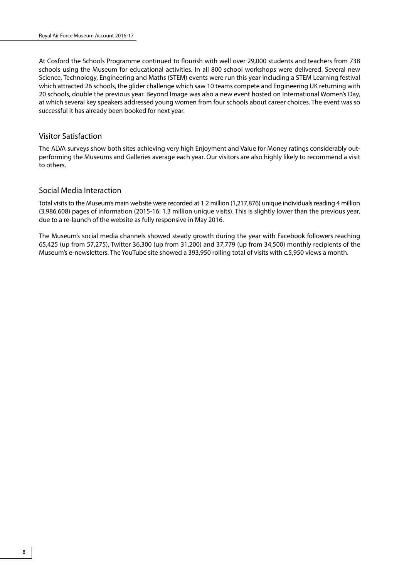At Cosford the Schools Programme continued to flourish with well over 29,000 students and teachers from 738 schools using the Museum for educational activities. In all 800 school workshops were delivered. Several new Science, Technology, Engineering and Maths (STEM) events were run this year including a STEM Learning festival which attracted 26 schools, the glider challenge which saw 10 teams compete and Engineering UK returning with 20 schools, double the previous year. Beyond Image was also a new event hosted on International Women's Day, at which several key speakers addressed young women from four schools about career choices. The event was so successful it has already been booked for next year.

### Visitor Satisfaction

The ALVA surveys show both sites achieving very high Enjoyment and Value for Money ratings considerably outperforming the Museums and Galleries average each year. Our visitors are also highly likely to recommend a visit to others.

### Social Media Interaction

Total visits to the Museum's main website were recorded at 1.2 million (1,217,876) unique individuals reading 4 million (3,986,608) pages of information (2015-16: 1.3 million unique visits). This is slightly lower than the previous year, due to a re-launch of the website as fully responsive in May 2016.

The Museum's social media channels showed steady growth during the year with Facebook followers reaching 65,425 (up from 57,275), Twitter 36,300 (up from 31,200) and 37,779 (up from 34,500) monthly recipients of the Museum's e-newsletters. The YouTube site showed a 393,950 rolling total of visits with c.5,950 views a month.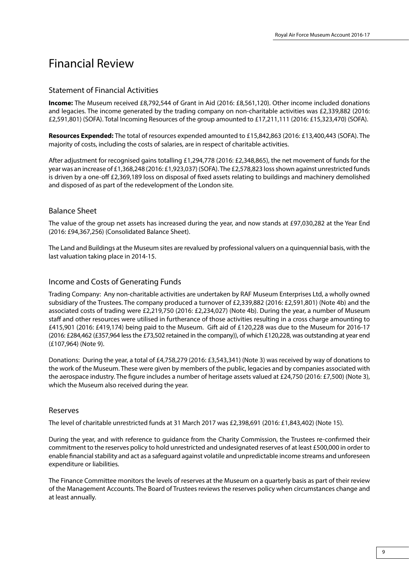## Financial Review

## Statement of Financial Activities

**Income:** The Museum received £8,792,544 of Grant in Aid (2016: £8,561,120). Other income included donations and legacies. The income generated by the trading company on non-charitable activities was £2,339,882 (2016: £2,591,801) (SOFA). Total Incoming Resources of the group amounted to £17,211,111 (2016: £15,323,470) (SOFA).

**Resources Expended:** The total of resources expended amounted to £15,842,863 (2016: £13,400,443 (SOFA). The majority of costs, including the costs of salaries, are in respect of charitable activities.

After adjustment for recognised gains totalling £1,294,778 (2016: £2,348,865), the net movement of funds for the year was an increase of £1,368,248 (2016: £1,923,037) (SOFA). The £2,578,823 loss shown against unrestricted funds is driven by a one-off £2,369,189 loss on disposal of fixed assets relating to buildings and machinery demolished and disposed of as part of the redevelopment of the London site.

## Balance Sheet

The value of the group net assets has increased during the year, and now stands at £97,030,282 at the Year End (2016: £94,367,256) (Consolidated Balance Sheet).

The Land and Buildings at the Museum sites are revalued by professional valuers on a quinquennial basis, with the last valuation taking place in 2014-15.

## Income and Costs of Generating Funds

Trading Company: Any non-charitable activities are undertaken by RAF Museum Enterprises Ltd, a wholly owned subsidiary of the Trustees. The company produced a turnover of £2,339,882 (2016: £2,591,801) (Note 4b) and the associated costs of trading were £2,219,750 (2016: £2,234,027) (Note 4b). During the year, a number of Museum staff and other resources were utilised in furtherance of those activities resulting in a cross charge amounting to £415,901 (2016: £419,174) being paid to the Museum. Gift aid of £120,228 was due to the Museum for 2016-17 (2016: £284,462 (£357,964 less the £73,502 retained in the company)), of which £120,228, was outstanding at year end (£107,964) (Note 9).

Donations: During the year, a total of £4,758,279 (2016: £3,543,341) (Note 3) was received by way of donations to the work of the Museum. These were given by members of the public, legacies and by companies associated with the aerospace industry. The figure includes a number of heritage assets valued at £24,750 (2016: £7,500) (Note 3), which the Museum also received during the year.

## Reserves

The level of charitable unrestricted funds at 31 March 2017 was £2,398,691 (2016: £1,843,402) (Note 15).

During the year, and with reference to guidance from the Charity Commission, the Trustees re-confirmed their commitment to the reserves policy to hold unrestricted and undesignated reserves of at least £500,000 in order to enable financial stability and act as a safeguard against volatile and unpredictable income streams and unforeseen expenditure or liabilities.

The Finance Committee monitors the levels of reserves at the Museum on a quarterly basis as part of their review of the Management Accounts. The Board of Trustees reviews the reserves policy when circumstances change and at least annually.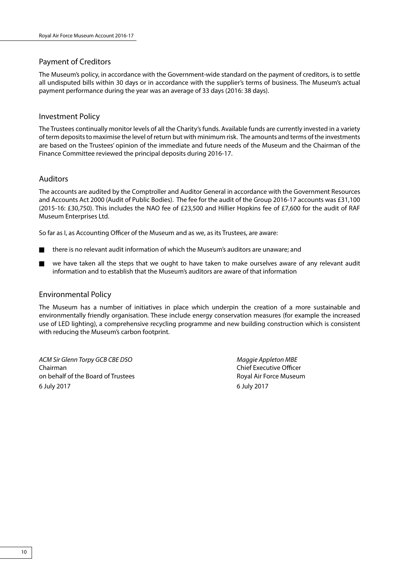## Payment of Creditors

The Museum's policy, in accordance with the Government-wide standard on the payment of creditors, is to settle all undisputed bills within 30 days or in accordance with the supplier's terms of business. The Museum's actual payment performance during the year was an average of 33 days (2016: 38 days).

## Investment Policy

The Trustees continually monitor levels of all the Charity's funds. Available funds are currently invested in a variety of term deposits to maximise the level of return but with minimum risk. The amounts and terms of the investments are based on the Trustees' opinion of the immediate and future needs of the Museum and the Chairman of the Finance Committee reviewed the principal deposits during 2016-17.

## Auditors

The accounts are audited by the Comptroller and Auditor General in accordance with the Government Resources and Accounts Act 2000 (Audit of Public Bodies). The fee for the audit of the Group 2016-17 accounts was £31,100 (2015-16: £30,750). This includes the NAO fee of £23,500 and Hillier Hopkins fee of £7,600 for the audit of RAF Museum Enterprises Ltd.

So far as I, as Accounting Officer of the Museum and as we, as its Trustees, are aware:

- n there is no relevant audit information of which the Museum's auditors are unaware; and
- we have taken all the steps that we ought to have taken to make ourselves aware of any relevant audit information and to establish that the Museum's auditors are aware of that information

### Environmental Policy

The Museum has a number of initiatives in place which underpin the creation of a more sustainable and environmentally friendly organisation. These include energy conservation measures (for example the increased use of LED lighting), a comprehensive recycling programme and new building construction which is consistent with reducing the Museum's carbon footprint.

*ACM Sir Glenn Torpy GCB CBE DSO Maggie Appleton MBE* Chairman Chief Executive Officer on behalf of the Board of Trustees **Royal Air Force Museum** Royal Air Force Museum 6 July 2017 6 July 2017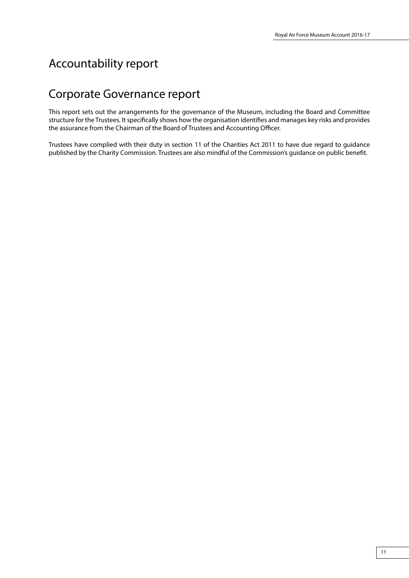## Accountability report

## Corporate Governance report

This report sets out the arrangements for the governance of the Museum, including the Board and Committee structure for the Trustees. It specifically shows how the organisation identifies and manages key risks and provides the assurance from the Chairman of the Board of Trustees and Accounting Officer.

Trustees have complied with their duty in section 11 of the Charities Act 2011 to have due regard to guidance published by the Charity Commission. Trustees are also mindful of the Commission's guidance on public benefit.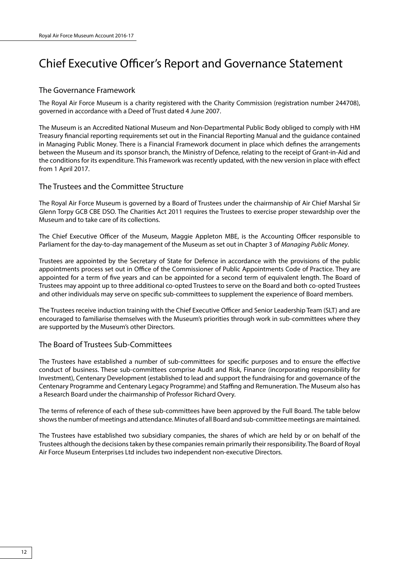## Chief Executive Officer's Report and Governance Statement

### The Governance Framework

The Royal Air Force Museum is a charity registered with the Charity Commission (registration number 244708), governed in accordance with a Deed of Trust dated 4 June 2007.

The Museum is an Accredited National Museum and Non-Departmental Public Body obliged to comply with HM Treasury financial reporting requirements set out in the Financial Reporting Manual and the guidance contained in Managing Public Money. There is a Financial Framework document in place which defines the arrangements between the Museum and its sponsor branch, the Ministry of Defence, relating to the receipt of Grant-in-Aid and the conditions for its expenditure. This Framework was recently updated, with the new version in place with effect from 1 April 2017.

### The Trustees and the Committee Structure

The Royal Air Force Museum is governed by a Board of Trustees under the chairmanship of Air Chief Marshal Sir Glenn Torpy GCB CBE DSO. The Charities Act 2011 requires the Trustees to exercise proper stewardship over the Museum and to take care of its collections.

The Chief Executive Officer of the Museum, Maggie Appleton MBE, is the Accounting Officer responsible to Parliament for the day-to-day management of the Museum as set out in Chapter 3 of *Managing Public Money*.

Trustees are appointed by the Secretary of State for Defence in accordance with the provisions of the public appointments process set out in Office of the Commissioner of Public Appointments Code of Practice. They are appointed for a term of five years and can be appointed for a second term of equivalent length. The Board of Trustees may appoint up to three additional co-opted Trustees to serve on the Board and both co-opted Trustees and other individuals may serve on specific sub-committees to supplement the experience of Board members.

The Trustees receive induction training with the Chief Executive Officer and Senior Leadership Team (SLT) and are encouraged to familiarise themselves with the Museum's priorities through work in sub-committees where they are supported by the Museum's other Directors.

## The Board of Trustees Sub-Committees

The Trustees have established a number of sub-committees for specific purposes and to ensure the effective conduct of business. These sub-committees comprise Audit and Risk, Finance (incorporating responsibility for Investment), Centenary Development (established to lead and support the fundraising for and governance of the Centenary Programme and Centenary Legacy Programme) and Staffing and Remuneration. The Museum also has a Research Board under the chairmanship of Professor Richard Overy.

The terms of reference of each of these sub-committees have been approved by the Full Board. The table below shows the number of meetings and attendance. Minutes of all Board and sub-committee meetings are maintained.

The Trustees have established two subsidiary companies, the shares of which are held by or on behalf of the Trustees although the decisions taken by these companies remain primarily their responsibility. The Board of Royal Air Force Museum Enterprises Ltd includes two independent non-executive Directors.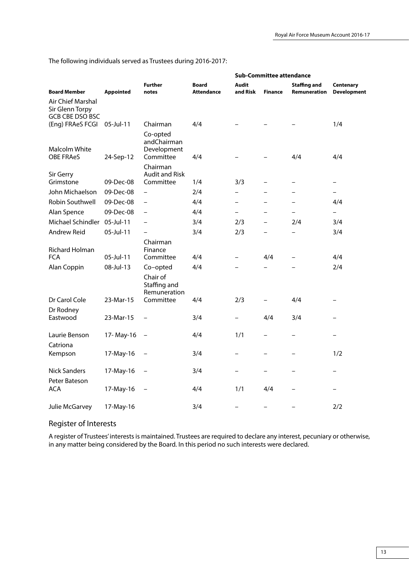|                                      |                  |                                                       |                                   | <b>Sub-Committee attendance</b> |                          |                   |                          |
|--------------------------------------|------------------|-------------------------------------------------------|-----------------------------------|---------------------------------|--------------------------|-------------------|--------------------------|
|                                      |                  | <b>Further</b>                                        | <b>Board</b><br><b>Attendance</b> | Audit<br>and Risk               | <b>Finance</b>           | Staffing and      | Centenary                |
| <b>Board Member</b>                  | <b>Appointed</b> | notes                                                 |                                   |                                 |                          | Remuneration      | <b>Development</b>       |
| Air Chief Marshal<br>Sir Glenn Torpy |                  |                                                       |                                   |                                 |                          |                   |                          |
| <b>GCB CBE DSO BSC</b>               |                  |                                                       |                                   |                                 |                          |                   |                          |
| (Eng) FRAeS FCGI 05-Jul-11           |                  | Chairman                                              | 4/4                               |                                 |                          |                   | 1/4                      |
| Malcolm White                        |                  | Co-opted<br>andChairman<br>Development                |                                   |                                 |                          |                   |                          |
| <b>OBE FRAeS</b>                     | 24-Sep-12        | Committee                                             | 4/4                               |                                 |                          | 4/4               | 4/4                      |
| Sir Gerry                            |                  | Chairman<br><b>Audit and Risk</b>                     |                                   |                                 |                          |                   |                          |
| Grimstone                            | 09-Dec-08        | Committee                                             | 1/4                               | 3/3                             | —                        | $\qquad \qquad -$ | $\overline{\phantom{m}}$ |
| John Michaelson                      | 09-Dec-08        | $\equiv$                                              | 2/4                               |                                 |                          |                   |                          |
| Robin Southwell                      | 09-Dec-08        |                                                       | 4/4                               |                                 |                          |                   | 4/4                      |
| Alan Spence                          | 09-Dec-08        | $\overline{\phantom{0}}$                              | 4/4                               | $\overline{\phantom{0}}$        | -                        | ÷                 | $\overline{\phantom{0}}$ |
| Michael Schindler 05-Jul-11          |                  |                                                       | 3/4                               | 2/3                             | $\overline{\phantom{0}}$ | 2/4               | 3/4                      |
| Andrew Reid                          | 05-Jul-11        | $\overline{\phantom{0}}$                              | 3/4                               | 2/3                             | -                        |                   | 3/4                      |
| <b>Richard Holman</b>                |                  | Chairman<br>Finance                                   |                                   |                                 |                          |                   |                          |
| <b>FCA</b>                           | 05-Jul-11        | Committee                                             | 4/4                               | -                               | 4/4                      | $\equiv$          | 4/4                      |
| Alan Coppin                          | 08-Jul-13        | Co-opted                                              | 4/4                               |                                 |                          |                   | 2/4                      |
| Dr Carol Cole                        | 23-Mar-15        | Chair of<br>Staffing and<br>Remuneration<br>Committee | 4/4                               | 2/3                             |                          | 4/4               |                          |
| Dr Rodney                            |                  |                                                       |                                   |                                 |                          |                   |                          |
| Eastwood                             | 23-Mar-15        | $\equiv$                                              | 3/4                               | $\overline{\phantom{0}}$        | 4/4                      | 3/4               |                          |
| Laurie Benson                        | 17-May-16        |                                                       | 4/4                               | 1/1                             |                          |                   | $\equiv$                 |
| Catriona                             |                  |                                                       |                                   |                                 |                          |                   |                          |
| Kempson                              | 17-May-16        |                                                       | 3/4                               | -                               |                          | $=$               | 1/2                      |
| <b>Nick Sanders</b>                  | 17-May-16        |                                                       | 3/4                               |                                 |                          |                   |                          |
| Peter Bateson<br><b>ACA</b>          |                  |                                                       | 4/4                               | 1/1                             | 4/4                      |                   |                          |
|                                      | 17-May-16        |                                                       |                                   |                                 |                          |                   |                          |
| Julie McGarvey                       | 17-May-16        |                                                       | 3/4                               | -                               |                          |                   | 2/2                      |

The following individuals served as Trustees during 2016-2017:

## Register of Interests

A register of Trustees' interests is maintained. Trustees are required to declare any interest, pecuniary or otherwise, in any matter being considered by the Board. In this period no such interests were declared.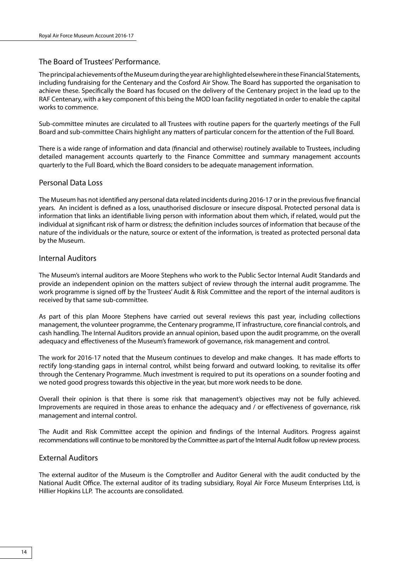### The Board of Trustees' Performance.

The principal achievements of the Museum during the year are highlighted elsewhere in these Financial Statements, including fundraising for the Centenary and the Cosford Air Show. The Board has supported the organisation to achieve these. Specifically the Board has focused on the delivery of the Centenary project in the lead up to the RAF Centenary, with a key component of this being the MOD loan facility negotiated in order to enable the capital works to commence.

Sub-committee minutes are circulated to all Trustees with routine papers for the quarterly meetings of the Full Board and sub-committee Chairs highlight any matters of particular concern for the attention of the Full Board.

There is a wide range of information and data (financial and otherwise) routinely available to Trustees, including detailed management accounts quarterly to the Finance Committee and summary management accounts quarterly to the Full Board, which the Board considers to be adequate management information.

### Personal Data Loss

The Museum has not identified any personal data related incidents during 2016-17 or in the previous five financial years. An incident is defined as a loss, unauthorised disclosure or insecure disposal. Protected personal data is information that links an identifiable living person with information about them which, if related, would put the individual at significant risk of harm or distress; the definition includes sources of information that because of the nature of the individuals or the nature, source or extent of the information, is treated as protected personal data by the Museum.

### Internal Auditors

The Museum's internal auditors are Moore Stephens who work to the Public Sector Internal Audit Standards and provide an independent opinion on the matters subject of review through the internal audit programme. The work programme is signed off by the Trustees' Audit & Risk Committee and the report of the internal auditors is received by that same sub-committee.

As part of this plan Moore Stephens have carried out several reviews this past year, including collections management, the volunteer programme, the Centenary programme, IT infrastructure, core financial controls, and cash handling. The Internal Auditors provide an annual opinion, based upon the audit programme, on the overall adequacy and effectiveness of the Museum's framework of governance, risk management and control.

The work for 2016-17 noted that the Museum continues to develop and make changes. It has made efforts to rectify long-standing gaps in internal control, whilst being forward and outward looking, to revitalise its offer through the Centenary Programme. Much investment is required to put its operations on a sounder footing and we noted good progress towards this objective in the year, but more work needs to be done.

Overall their opinion is that there is some risk that management's objectives may not be fully achieved. Improvements are required in those areas to enhance the adequacy and / or effectiveness of governance, risk management and internal control.

The Audit and Risk Committee accept the opinion and findings of the Internal Auditors. Progress against recommendations will continue to be monitored by the Committee as part of the Internal Audit follow up review process.

### External Auditors

The external auditor of the Museum is the Comptroller and Auditor General with the audit conducted by the National Audit Office. The external auditor of its trading subsidiary, Royal Air Force Museum Enterprises Ltd, is Hillier Hopkins LLP. The accounts are consolidated.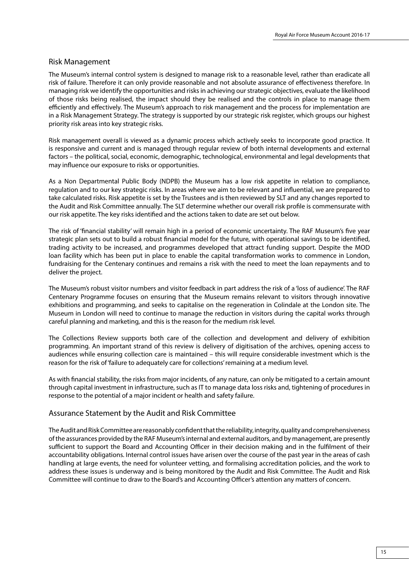### Risk Management

The Museum's internal control system is designed to manage risk to a reasonable level, rather than eradicate all risk of failure. Therefore it can only provide reasonable and not absolute assurance of effectiveness therefore. In managing risk we identify the opportunities and risks in achieving our strategic objectives, evaluate the likelihood of those risks being realised, the impact should they be realised and the controls in place to manage them efficiently and effectively. The Museum's approach to risk management and the process for implementation are in a Risk Management Strategy. The strategy is supported by our strategic risk register, which groups our highest priority risk areas into key strategic risks.

Risk management overall is viewed as a dynamic process which actively seeks to incorporate good practice. It is responsive and current and is managed through regular review of both internal developments and external factors – the political, social, economic, demographic, technological, environmental and legal developments that may influence our exposure to risks or opportunities.

As a Non Departmental Public Body (NDPB) the Museum has a low risk appetite in relation to compliance, regulation and to our key strategic risks. In areas where we aim to be relevant and influential, we are prepared to take calculated risks. Risk appetite is set by the Trustees and is then reviewed by SLT and any changes reported to the Audit and Risk Committee annually. The SLT determine whether our overall risk profile is commensurate with our risk appetite. The key risks identified and the actions taken to date are set out below.

The risk of 'financial stability' will remain high in a period of economic uncertainty. The RAF Museum's five year strategic plan sets out to build a robust financial model for the future, with operational savings to be identified, trading activity to be increased, and programmes developed that attract funding support. Despite the MOD loan facility which has been put in place to enable the capital transformation works to commence in London, fundraising for the Centenary continues and remains a risk with the need to meet the loan repayments and to deliver the project.

The Museum's robust visitor numbers and visitor feedback in part address the risk of a 'loss of audience'. The RAF Centenary Programme focuses on ensuring that the Museum remains relevant to visitors through innovative exhibitions and programming, and seeks to capitalise on the regeneration in Colindale at the London site. The Museum in London will need to continue to manage the reduction in visitors during the capital works through careful planning and marketing, and this is the reason for the medium risk level.

The Collections Review supports both care of the collection and development and delivery of exhibition programming. An important strand of this review is delivery of digitisation of the archives, opening access to audiences while ensuring collection care is maintained – this will require considerable investment which is the reason for the risk of 'failure to adequately care for collections' remaining at a medium level.

As with financial stability, the risks from major incidents, of any nature, can only be mitigated to a certain amount through capital investment in infrastructure, such as IT to manage data loss risks and, tightening of procedures in response to the potential of a major incident or health and safety failure.

### Assurance Statement by the Audit and Risk Committee

The Audit and Risk Committee are reasonably confident that the reliability, integrity, quality and comprehensiveness of the assurances provided by the RAF Museum's internal and external auditors, and by management, are presently sufficient to support the Board and Accounting Officer in their decision making and in the fulfilment of their accountability obligations. Internal control issues have arisen over the course of the past year in the areas of cash handling at large events, the need for volunteer vetting, and formalising accreditation policies, and the work to address these issues is underway and is being monitored by the Audit and Risk Committee. The Audit and Risk Committee will continue to draw to the Board's and Accounting Officer's attention any matters of concern.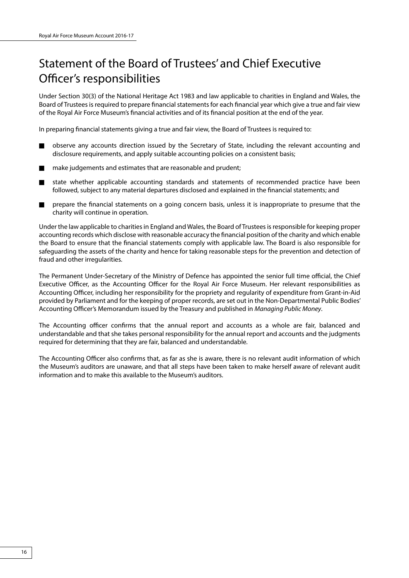## Statement of the Board of Trustees' and Chief Executive Officer's responsibilities

Under Section 30(3) of the National Heritage Act 1983 and law applicable to charities in England and Wales, the Board of Trustees is required to prepare financial statements for each financial year which give a true and fair view of the Royal Air Force Museum's financial activities and of its financial position at the end of the year.

In preparing financial statements giving a true and fair view, the Board of Trustees is required to:

- n observe any accounts direction issued by the Secretary of State, including the relevant accounting and disclosure requirements, and apply suitable accounting policies on a consistent basis;
- $\blacksquare$  make judgements and estimates that are reasonable and prudent;
- n state whether applicable accounting standards and statements of recommended practice have been followed, subject to any material departures disclosed and explained in the financial statements; and
- **n** prepare the financial statements on a going concern basis, unless it is inappropriate to presume that the charity will continue in operation.

Under the law applicable to charities in England and Wales, the Board of Trustees is responsible for keeping proper accounting records which disclose with reasonable accuracy the financial position of the charity and which enable the Board to ensure that the financial statements comply with applicable law. The Board is also responsible for safeguarding the assets of the charity and hence for taking reasonable steps for the prevention and detection of fraud and other irregularities.

The Permanent Under-Secretary of the Ministry of Defence has appointed the senior full time official, the Chief Executive Officer, as the Accounting Officer for the Royal Air Force Museum. Her relevant responsibilities as Accounting Officer, including her responsibility for the propriety and regularity of expenditure from Grant-in-Aid provided by Parliament and for the keeping of proper records, are set out in the Non-Departmental Public Bodies' Accounting Officer's Memorandum issued by the Treasury and published in *Managing Public Money*.

The Accounting officer confirms that the annual report and accounts as a whole are fair, balanced and understandable and that she takes personal responsibility for the annual report and accounts and the judgments required for determining that they are fair, balanced and understandable.

The Accounting Officer also confirms that, as far as she is aware, there is no relevant audit information of which the Museum's auditors are unaware, and that all steps have been taken to make herself aware of relevant audit information and to make this available to the Museum's auditors.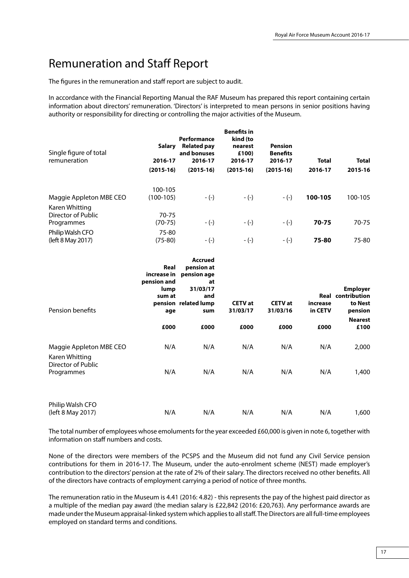## Remuneration and Staff Report

The figures in the remuneration and staff report are subject to audit.

In accordance with the Financial Reporting Manual the RAF Museum has prepared this report containing certain information about directors' remuneration. 'Directors' is interpreted to mean persons in senior positions having authority or responsibility for directing or controlling the major activities of the Museum.

| Single figure of total<br>remuneration             | Salary<br>2016-17<br>$(2015-16)$ | Performance<br><b>Related pay</b><br>and bonuses<br>2016-17<br>$(2015-16)$ | <b>Benefits in</b><br>kind (to<br>nearest<br>£100)<br>2016-17<br>$(2015-16)$ | <b>Pension</b><br><b>Benefits</b><br>2016-17<br>$(2015-16)$ | <b>Total</b><br>2016-17 | <b>Total</b><br>2015-16 |
|----------------------------------------------------|----------------------------------|----------------------------------------------------------------------------|------------------------------------------------------------------------------|-------------------------------------------------------------|-------------------------|-------------------------|
| Maggie Appleton MBE CEO                            | 100-105<br>$(100-105)$           | $-(-)$                                                                     | $-(-)$                                                                       | $-(-)$                                                      | 100-105                 | 100-105                 |
| Karen Whitting<br>Director of Public<br>Programmes | 70-75<br>$(70-75)$               | $-(-)$                                                                     | $-(-)$                                                                       | $-(-)$                                                      | 70-75                   | 70-75                   |
| Philip Walsh CFO<br>(left 8 May 2017)              | 75-80<br>$(75-80)$               | $-(-)$                                                                     | $-(-)$                                                                       | $-(-)$                                                      | 75-80                   | 75-80                   |

| Pension benefits                          | Real<br>increase in<br>pension and<br>lump<br>sum at<br>age | <b>Accrued</b><br>pension at<br>pension age<br>at<br>31/03/17<br>and<br>pension related lump<br>sum | <b>CETV</b> at<br>31/03/17 | <b>CETV</b> at<br>31/03/16 | Real<br>increase<br>in CETV | <b>Employer</b><br>contribution<br>to Nest<br>pension |
|-------------------------------------------|-------------------------------------------------------------|-----------------------------------------------------------------------------------------------------|----------------------------|----------------------------|-----------------------------|-------------------------------------------------------|
|                                           | £000                                                        | £000                                                                                                | £000                       | £000                       | £000                        | <b>Nearest</b><br>£100                                |
| Maggie Appleton MBE CEO<br>Karen Whitting | N/A                                                         | N/A                                                                                                 | N/A                        | N/A                        | N/A                         | 2,000                                                 |
| Director of Public<br>Programmes          | N/A                                                         | N/A                                                                                                 | N/A                        | N/A                        | N/A                         | 1,400                                                 |
| Philip Walsh CFO<br>(left 8 May 2017)     | N/A                                                         | N/A                                                                                                 | N/A                        | N/A                        | N/A                         | 1,600                                                 |

The total number of employees whose emoluments for the year exceeded £60,000 is given in note 6, together with information on staff numbers and costs.

None of the directors were members of the PCSPS and the Museum did not fund any Civil Service pension contributions for them in 2016-17. The Museum, under the auto-enrolment scheme (NEST) made employer's contribution to the directors' pension at the rate of 2% of their salary. The directors received no other benefits. All of the directors have contracts of employment carrying a period of notice of three months.

The remuneration ratio in the Museum is 4.41 (2016: 4.82) - this represents the pay of the highest paid director as a multiple of the median pay award (the median salary is £22,842 (2016: £20,763). Any performance awards are made under the Museum appraisal-linked system which applies to all staff. The Directors are all full-time employees employed on standard terms and conditions.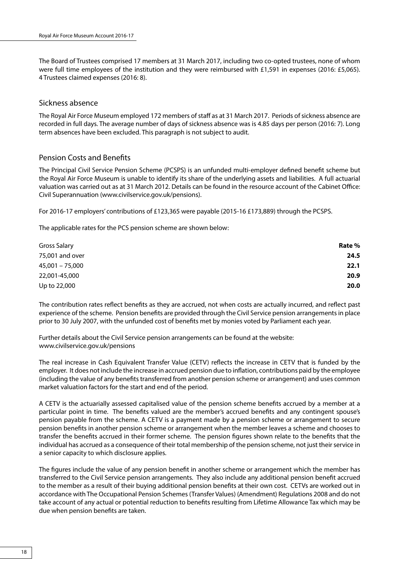The Board of Trustees comprised 17 members at 31 March 2017, including two co-opted trustees, none of whom were full time employees of the institution and they were reimbursed with £1,591 in expenses (2016: £5,065). 4 Trustees claimed expenses (2016: 8).

### Sickness absence

The Royal Air Force Museum employed 172 members of staff as at 31 March 2017. Periods of sickness absence are recorded in full days. The average number of days of sickness absence was is 4.85 days per person (2016: 7). Long term absences have been excluded. This paragraph is not subject to audit.

### Pension Costs and Benefits

The Principal Civil Service Pension Scheme (PCSPS) is an unfunded multi-employer defined benefit scheme but the Royal Air Force Museum is unable to identify its share of the underlying assets and liabilities. A full actuarial valuation was carried out as at 31 March 2012. Details can be found in the resource account of the Cabinet Office: Civil Superannuation (www.civilservice.gov.uk/pensions).

For 2016-17 employers' contributions of £123,365 were payable (2015-16 £173,889) through the PCSPS.

The applicable rates for the PCS pension scheme are shown below:

| Gross Salary      | Rate % |
|-------------------|--------|
| 75,001 and over   | 24.5   |
| $45,001 - 75,000$ | 22.1   |
| 22,001-45,000     | 20.9   |
| Up to 22,000      | 20.0   |

The contribution rates reflect benefits as they are accrued, not when costs are actually incurred, and reflect past experience of the scheme. Pension benefits are provided through the Civil Service pension arrangements in place prior to 30 July 2007, with the unfunded cost of benefits met by monies voted by Parliament each year.

Further details about the Civil Service pension arrangements can be found at the website: www.civilservice.gov.uk/pensions

The real increase in Cash Equivalent Transfer Value (CETV) reflects the increase in CETV that is funded by the employer. It does not include the increase in accrued pension due to inflation, contributions paid by the employee (including the value of any benefits transferred from another pension scheme or arrangement) and uses common market valuation factors for the start and end of the period.

A CETV is the actuarially assessed capitalised value of the pension scheme benefits accrued by a member at a particular point in time. The benefits valued are the member's accrued benefits and any contingent spouse's pension payable from the scheme. A CETV is a payment made by a pension scheme or arrangement to secure pension benefits in another pension scheme or arrangement when the member leaves a scheme and chooses to transfer the benefits accrued in their former scheme. The pension figures shown relate to the benefits that the individual has accrued as a consequence of their total membership of the pension scheme, not just their service in a senior capacity to which disclosure applies.

The figures include the value of any pension benefit in another scheme or arrangement which the member has transferred to the Civil Service pension arrangements. They also include any additional pension benefit accrued to the member as a result of their buying additional pension benefits at their own cost. CETVs are worked out in accordance with The Occupational Pension Schemes (Transfer Values) (Amendment) Regulations 2008 and do not take account of any actual or potential reduction to benefits resulting from Lifetime Allowance Tax which may be due when pension benefits are taken.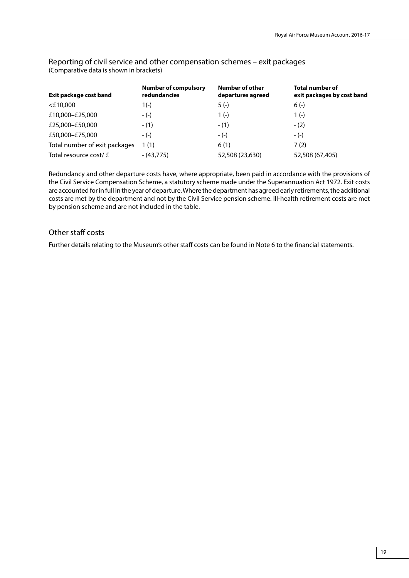**Exit package cost band Number of compulsory redundancies Number of other departures agreed Total number of exit packages by cost band** <£10,000 1(-) 5 (-) 6 (-)  $£10,000-E25,000$  - (-) 1 (-) 1 (-) 1 (-)  $£25,000-E50,000$  - (1) - (1) - (2)  $£50,000-£75,000$  - (-) - (-) - (-) - (-) Total number of exit packages 1 (1) 6 (1) 6 (1) 7 (2) Total resource cost/ £ - (43,775) 52,508 (23,630) 52,508 (67,405)

Reporting of civil service and other compensation schemes – exit packages (Comparative data is shown in brackets)

Redundancy and other departure costs have, where appropriate, been paid in accordance with the provisions of the Civil Service Compensation Scheme, a statutory scheme made under the Superannuation Act 1972. Exit costs are accounted for in full in the year of departure. Where the department has agreed early retirements, the additional costs are met by the department and not by the Civil Service pension scheme. Ill-health retirement costs are met by pension scheme and are not included in the table.

## Other staff costs

Further details relating to the Museum's other staff costs can be found in Note 6 to the financial statements.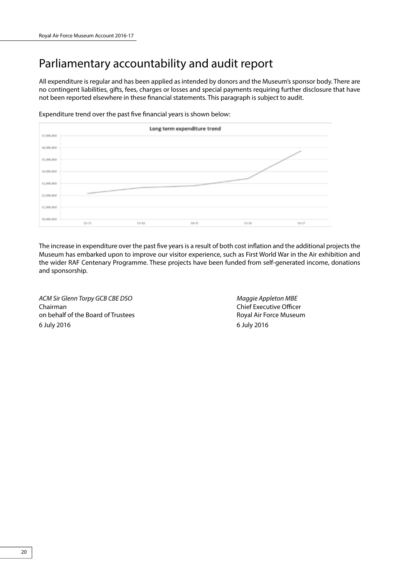## Parliamentary accountability and audit report

All expenditure is regular and has been applied as intended by donors and the Museum's sponsor body. There are no contingent liabilities, gifts, fees, charges or losses and special payments requiring further disclosure that have not been reported elsewhere in these financial statements. This paragraph is subject to audit.

Expenditure trend over the past five financial years is shown below:



The increase in expenditure over the past five years is a result of both cost inflation and the additional projects the Museum has embarked upon to improve our visitor experience, such as First World War in the Air exhibition and the wider RAF Centenary Programme. These projects have been funded from self-generated income, donations and sponsorship.

*ACM Sir Glenn Torpy GCB CBE DSO Maggie Appleton MBE* Chairman Chairman Chief Executive Officer on behalf of the Board of Trustees **Royal Air Force Museum** 6 July 2016 6 July 2016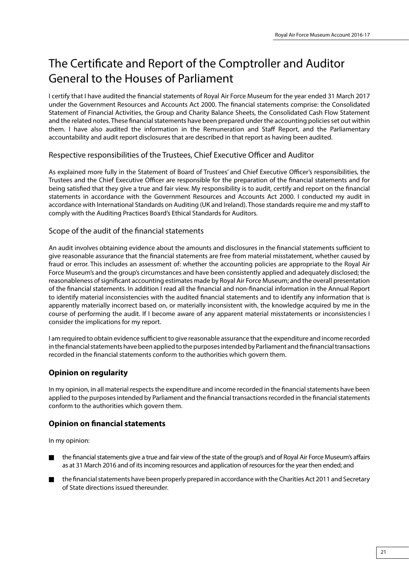## The Certificate and Report of the Comptroller and Auditor General to the Houses of Parliament

I certify that I have audited the financial statements of Royal Air Force Museum for the year ended 31 March 2017 under the Government Resources and Accounts Act 2000. The financial statements comprise: the Consolidated Statement of Financial Activities, the Group and Charity Balance Sheets, the Consolidated Cash Flow Statement and the related notes. These financial statements have been prepared under the accounting policies set out within them. I have also audited the information in the Remuneration and Staff Report, and the Parliamentary accountability and audit report disclosures that are described in that report as having been audited.

## Respective responsibilities of the Trustees, Chief Executive Officer and Auditor

As explained more fully in the Statement of Board of Trustees' and Chief Executive Officer's responsibilities, the Trustees and the Chief Executive Officer are responsible for the preparation of the financial statements and for being satisfied that they give a true and fair view. My responsibility is to audit, certify and report on the financial statements in accordance with the Government Resources and Accounts Act 2000. I conducted my audit in accordance with International Standards on Auditing (UK and Ireland). Those standards require me and my staff to comply with the Auditing Practices Board's Ethical Standards for Auditors.

### Scope of the audit of the financial statements

An audit involves obtaining evidence about the amounts and disclosures in the financial statements sufficient to give reasonable assurance that the financial statements are free from material misstatement, whether caused by fraud or error. This includes an assessment of: whether the accounting policies are appropriate to the Royal Air Force Museum's and the group's circumstances and have been consistently applied and adequately disclosed; the reasonableness of significant accounting estimates made by Royal Air Force Museum; and the overall presentation of the financial statements. In addition I read all the financial and non-financial information in the Annual Report to identify material inconsistencies with the audited financial statements and to identify any information that is apparently materially incorrect based on, or materially inconsistent with, the knowledge acquired by me in the course of performing the audit. If I become aware of any apparent material misstatements or inconsistencies I consider the implications for my report.

I am required to obtain evidence sufficient to give reasonable assurance that the expenditure and income recorded in the financial statements have been applied to the purposes intended by Parliament and the financial transactions recorded in the financial statements conform to the authorities which govern them.

## **Opinion on regularity**

In my opinion, in all material respects the expenditure and income recorded in the financial statements have been applied to the purposes intended by Parliament and the financial transactions recorded in the financial statements conform to the authorities which govern them.

## **Opinion on financial statements**

In my opinion:

- n the financial statements give a true and fair view of the state of the group's and of Royal Air Force Museum's affairs as at 31 March 2016 and of its incoming resources and application of resources for the year then ended; and
- n the financial statements have been properly prepared in accordance with the Charities Act 2011 and Secretary of State directions issued thereunder.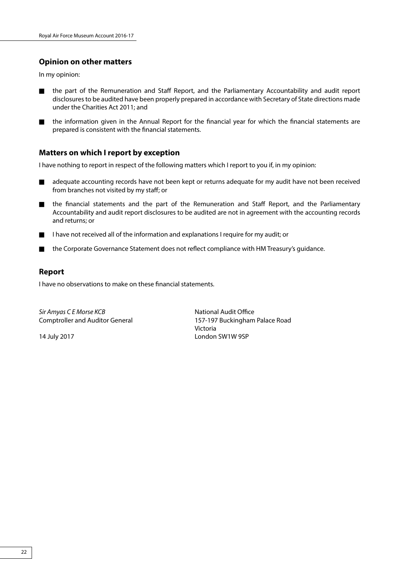## **Opinion on other matters**

In my opinion:

- n the part of the Remuneration and Staff Report, and the Parliamentary Accountability and audit report disclosures to be audited have been properly prepared in accordance with Secretary of State directions made under the Charities Act 2011; and
- n the information given in the Annual Report for the financial year for which the financial statements are prepared is consistent with the financial statements.

### **Matters on which I report by exception**

I have nothing to report in respect of the following matters which I report to you if, in my opinion:

- n adequate accounting records have not been kept or returns adequate for my audit have not been received from branches not visited by my staff; or
- n the financial statements and the part of the Remuneration and Staff Report, and the Parliamentary Accountability and audit report disclosures to be audited are not in agreement with the accounting records and returns; or
- I have not received all of the information and explanations I require for my audit; or
- n the Corporate Governance Statement does not reflect compliance with HM Treasury's guidance.

### **Report**

I have no observations to make on these financial statements.

**Sir Amyas C E Morse KCB** National Audit Office

Comptroller and Auditor General 157-197 Buckingham Palace Road Victoria 14 July 2017 London SW1W 9SP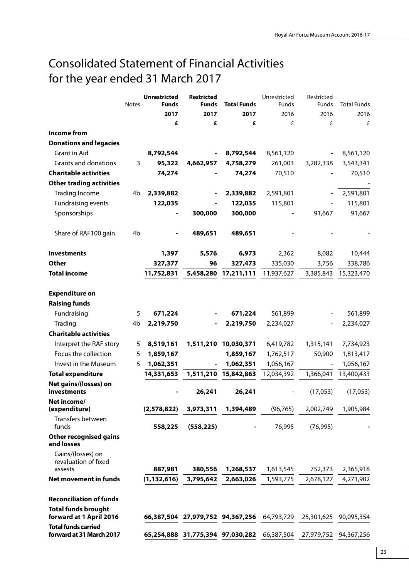## Consolidated Statement of Financial Activities for the year ended 31 March 2017

|                                                        |                | <b>Unrestricted</b> | <b>Restricted</b>                |                      | Unrestricted | Restricted               |                    |
|--------------------------------------------------------|----------------|---------------------|----------------------------------|----------------------|--------------|--------------------------|--------------------|
|                                                        | <b>Notes</b>   | <b>Funds</b>        | Funds                            | <b>Total Funds</b>   | Funds        | <b>Funds</b>             | <b>Total Funds</b> |
|                                                        |                | 2017                | 2017                             | 2017                 | 2016         | 2016                     | 2016               |
|                                                        |                | £                   | £                                | £                    | £            | £                        | £                  |
| Income from                                            |                |                     |                                  |                      |              |                          |                    |
| <b>Donations and legacies</b>                          |                |                     |                                  |                      |              |                          |                    |
| Grant in Aid                                           |                | 8,792,544           |                                  | 8,792,544            | 8,561,120    |                          | 8,561,120          |
| Grants and donations                                   | 3              | 95,322              | 4,662,957                        | 4,758,279            | 261,003      | 3,282,338                | 3,543,341          |
| <b>Charitable activities</b>                           |                | 74,274              |                                  | 74,274               | 70,510       |                          | 70,510             |
| <b>Other trading activities</b>                        |                |                     |                                  |                      |              |                          |                    |
| <b>Trading Income</b>                                  | 4b             | 2,339,882           |                                  | 2,339,882            | 2,591,801    |                          | 2,591,801          |
| Fundraising events                                     |                | 122,035             |                                  | 122,035              | 115,801      |                          | 115,801            |
| Sponsorships                                           |                |                     | 300,000                          | 300,000              |              | 91,667                   | 91,667             |
| Share of RAF100 gain                                   | 4 <sub>b</sub> |                     | 489,651                          | 489,651              |              |                          |                    |
| <b>Investments</b>                                     |                | 1,397               | 5,576                            | 6,973                | 2,362        | 8,082                    | 10,444             |
| <b>Other</b>                                           |                | 327,377             | 96                               | 327,473              | 335,030      | 3,756                    | 338,786            |
| <b>Total income</b>                                    |                | 11,752,831          | 5,458,280                        | 17,211,111           | 11,937,627   | 3,385,843                | 15,323,470         |
| <b>Expenditure on</b>                                  |                |                     |                                  |                      |              |                          |                    |
| <b>Raising funds</b>                                   |                |                     |                                  |                      |              |                          |                    |
| Fundraising                                            | 5              | 671,224             |                                  | 671,224              | 561,899      |                          | 561,899            |
| Trading                                                | 4b             | 2,219,750           |                                  | 2,219,750            | 2,234,027    |                          | 2,234,027          |
| <b>Charitable activities</b>                           |                |                     |                                  |                      |              |                          |                    |
|                                                        |                |                     |                                  |                      |              |                          |                    |
| Interpret the RAF story                                | 5              | 8,519,161           |                                  | 1,511,210 10,030,371 | 6,419,782    | 1,315,141                | 7,734,923          |
| Focus the collection                                   | 5              | 1,859,167           |                                  | 1,859,167            | 1,762,517    | 50,900                   | 1,813,417          |
| Invest in the Museum                                   | 5              | 1,062,351           | $\overline{\phantom{a}}$         | 1,062,351            | 1,056,167    | $\overline{\phantom{a}}$ | 1,056,167          |
| <b>Total expenditure</b>                               |                | 14,331,653          |                                  | 1,511,210 15,842,863 | 12,034,392   | 1,366,041                | 13,400,433         |
| Net gains/(losses) on<br>investments                   |                |                     | 26,241                           | 26,241               |              | (17,053)                 | (17,053)           |
| Net income/<br>(expenditure)                           |                | (2,578,822)         | 3,973,311                        | 1,394,489            | (96, 765)    | 2,002,749                | 1,905,984          |
| Transfers between<br>funds                             |                | 558,225             | (558, 225)                       |                      | 76,995       | (76, 995)                |                    |
| <b>Other recognised gains</b><br>and losses            |                |                     |                                  |                      |              |                          |                    |
| Gains/(losses) on<br>revaluation of fixed              |                |                     |                                  |                      |              |                          |                    |
| assests                                                |                | 887,981             | 380,556                          | 1,268,537            | 1,613,545    | 752,373                  | 2,365,918          |
| <b>Net movement in funds</b>                           |                | (1, 132, 616)       | 3,795,642                        | 2,663,026            | 1,593,775    | 2,678,127                | 4,271,902          |
| <b>Reconciliation of funds</b>                         |                |                     |                                  |                      |              |                          |                    |
| <b>Total funds brought</b>                             |                |                     |                                  |                      |              |                          |                    |
| forward at 1 April 2016                                |                |                     | 66,387,504 27,979,752 94,367,256 |                      | 64,793,729   | 25,301,625               | 90,095,354         |
| <b>Total funds carried</b><br>forward at 31 March 2017 |                |                     | 65,254,888 31,775,394 97,030,282 |                      | 66,387,504   | 27,979,752               | 94,367,256         |
|                                                        |                |                     |                                  |                      |              |                          |                    |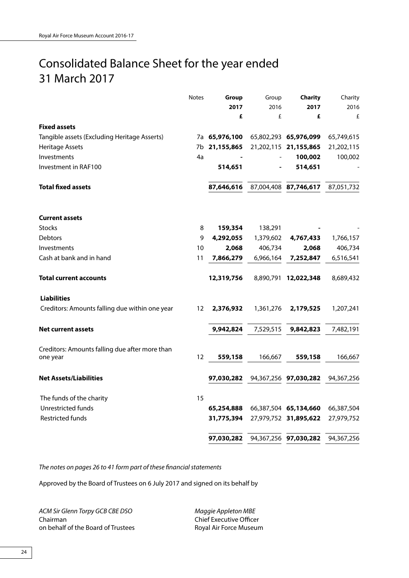## Consolidated Balance Sheet for the year ended 31 March 2017

|                                                            | Notes             | Group         | Group     | Charity               | Charity    |
|------------------------------------------------------------|-------------------|---------------|-----------|-----------------------|------------|
|                                                            |                   | 2017          | 2016      | 2017                  | 2016       |
|                                                            |                   | £             | £         | £                     | £          |
| <b>Fixed assets</b>                                        |                   |               |           |                       |            |
| Tangible assets (Excluding Heritage Asserts)               |                   | 7a 65,976,100 |           | 65,802,293 65,976,099 | 65,749,615 |
| Heritage Assets                                            |                   | 7b 21,155,865 |           | 21,202,115 21,155,865 | 21,202,115 |
| Investments                                                | 4a                |               |           | 100,002               | 100,002    |
| Investment in RAF100                                       |                   | 514,651       |           | 514,651               |            |
| <b>Total fixed assets</b>                                  |                   | 87,646,616    |           | 87,004,408 87,746,617 | 87,051,732 |
| <b>Current assets</b>                                      |                   |               |           |                       |            |
| <b>Stocks</b>                                              | 8                 | 159,354       | 138,291   |                       |            |
| <b>Debtors</b>                                             | 9                 | 4,292,055     | 1,379,602 | 4,767,433             | 1,766,157  |
| Investments                                                | 10                | 2,068         | 406,734   | 2,068                 | 406,734    |
| Cash at bank and in hand                                   | 11                | 7,866,279     | 6,966,164 | 7,252,847             | 6,516,541  |
| Total current accounts                                     |                   | 12,319,756    |           | 8,890,791 12,022,348  | 8,689,432  |
| <b>Liabilities</b>                                         |                   |               |           |                       |            |
| Creditors: Amounts falling due within one year             | 12                | 2,376,932     | 1,361,276 | 2,179,525             | 1,207,241  |
| <b>Net current assets</b>                                  |                   | 9,942,824     | 7,529,515 | 9,842,823             | 7,482,191  |
|                                                            |                   |               |           |                       |            |
| Creditors: Amounts falling due after more than<br>one year | $12 \overline{ }$ | 559,158       | 166,667   | 559,158               | 166,667    |
| <b>Net Assets/Liabilities</b>                              |                   | 97,030,282    |           | 94,367,256 97,030,282 | 94,367,256 |
|                                                            |                   |               |           |                       |            |
| The funds of the charity                                   | 15                |               |           |                       |            |
| Unrestricted funds                                         |                   | 65,254,888    |           | 66,387,504 65,134,660 | 66,387,504 |
| <b>Restricted funds</b>                                    |                   | 31,775,394    |           | 27,979,752 31,895,622 | 27,979,752 |
|                                                            |                   | 97,030,282    |           | 94,367,256 97,030,282 | 94,367,256 |

*The notes on pages 26 to 41 form part of these financial statements*

Approved by the Board of Trustees on 6 July 2017 and signed on its behalf by

*ACM Sir Glenn Torpy GCB CBE DSO Maggie Appleton MBE* Chairman Chairman Chief Executive Officer on behalf of the Board of Trustees Royal Air Force Museum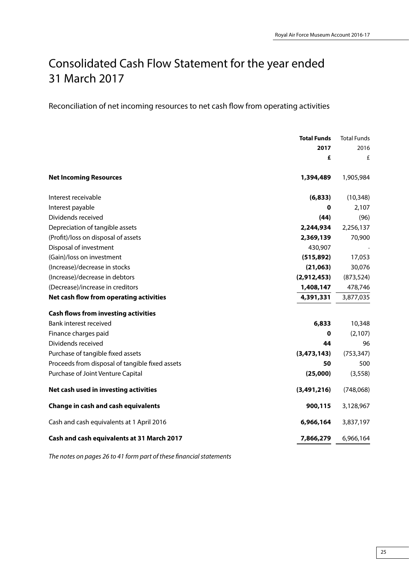## Consolidated Cash Flow Statement for the year ended 31 March 2017

Reconciliation of net incoming resources to net cash flow from operating activities

|                                                 | <b>Total Funds</b> | <b>Total Funds</b> |
|-------------------------------------------------|--------------------|--------------------|
|                                                 | 2017               | 2016               |
|                                                 | £                  | £                  |
| <b>Net Incoming Resources</b>                   | 1,394,489          | 1,905,984          |
| Interest receivable                             | (6, 833)           | (10, 348)          |
| Interest payable                                | 0                  | 2,107              |
| Dividends received                              | (44)               | (96)               |
| Depreciation of tangible assets                 | 2,244,934          | 2,256,137          |
| (Profit)/loss on disposal of assets             | 2,369,139          | 70,900             |
| Disposal of investment                          | 430,907            |                    |
| (Gain)/loss on investment                       | (515, 892)         | 17,053             |
| (Increase)/decrease in stocks                   | (21,063)           | 30,076             |
| (Increase)/decrease in debtors                  | (2,912,453)        | (873, 524)         |
| (Decrease)/increase in creditors                | 1,408,147          | 478,746            |
| Net cash flow from operating activities         | 4,391,331          | 3,877,035          |
| <b>Cash flows from investing activities</b>     |                    |                    |
| Bank interest received                          | 6,833              | 10,348             |
| Finance charges paid                            | 0                  | (2,107)            |
| Dividends received                              | 44                 | 96                 |
| Purchase of tangible fixed assets               | (3, 473, 143)      | (753, 347)         |
| Proceeds from disposal of tangible fixed assets | 50                 | 500                |
| Purchase of Joint Venture Capital               | (25,000)           | (3, 558)           |
| Net cash used in investing activities           | (3,491,216)        | (748,068)          |
| Change in cash and cash equivalents             | 900,115            | 3,128,967          |
| Cash and cash equivalents at 1 April 2016       | 6,966,164          | 3,837,197          |
| Cash and cash equivalents at 31 March 2017      | 7,866,279          | 6,966,164          |

*The notes on pages 26 to 41 form part of these financial statements*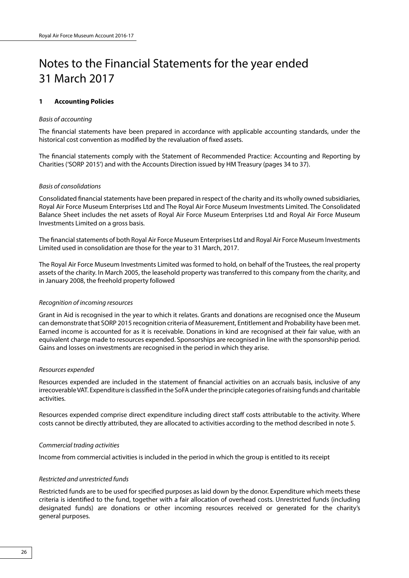## Notes to the Financial Statements for the year ended 31 March 2017

### **1 Accounting Policies**

### *Basis of accounting*

The financial statements have been prepared in accordance with applicable accounting standards, under the historical cost convention as modified by the revaluation of fixed assets.

The financial statements comply with the Statement of Recommended Practice: Accounting and Reporting by Charities ('SORP 2015') and with the Accounts Direction issued by HM Treasury (pages 34 to 37).

### *Basis of consolidations*

Consolidated financial statements have been prepared in respect of the charity and its wholly owned subsidiaries, Royal Air Force Museum Enterprises Ltd and The Royal Air Force Museum Investments Limited. The Consolidated Balance Sheet includes the net assets of Royal Air Force Museum Enterprises Ltd and Royal Air Force Museum Investments Limited on a gross basis.

The financial statements of both Royal Air Force Museum Enterprises Ltd and Royal Air Force Museum Investments Limited used in consolidation are those for the year to 31 March, 2017.

The Royal Air Force Museum Investments Limited was formed to hold, on behalf of the Trustees, the real property assets of the charity. In March 2005, the leasehold property was transferred to this company from the charity, and in January 2008, the freehold property followed

### *Recognition of incoming resources*

Grant in Aid is recognised in the year to which it relates. Grants and donations are recognised once the Museum can demonstrate that SORP 2015 recognition criteria of Measurement, Entitlement and Probability have been met. Earned income is accounted for as it is receivable. Donations in kind are recognised at their fair value, with an equivalent charge made to resources expended. Sponsorships are recognised in line with the sponsorship period. Gains and losses on investments are recognised in the period in which they arise.

#### *Resources expended*

Resources expended are included in the statement of financial activities on an accruals basis, inclusive of any irrecoverable VAT. Expenditure is classified in the SoFA under the principle categories of raising funds and charitable activities.

Resources expended comprise direct expenditure including direct staff costs attributable to the activity. Where costs cannot be directly attributed, they are allocated to activities according to the method described in note 5.

#### *Commercial trading activities*

Income from commercial activities is included in the period in which the group is entitled to its receipt

### *Restricted and unrestricted funds*

Restricted funds are to be used for specified purposes as laid down by the donor. Expenditure which meets these criteria is identified to the fund, together with a fair allocation of overhead costs. Unrestricted funds (including designated funds) are donations or other incoming resources received or generated for the charity's general purposes.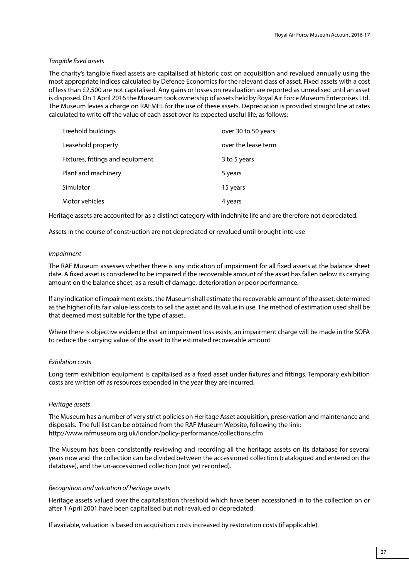### *Tangible fixed assets*

The charity's tangible fixed assets are capitalised at historic cost on acquisition and revalued annually using the most appropriate indices calculated by Defence Economics for the relevant class of asset. Fixed assets with a cost of less than £2,500 are not capitalised. Any gains or losses on revaluation are reported as unrealised until an asset is disposed. On 1 April 2016 the Museum took ownership of assets held by Royal Air Force Museum Enterprises Ltd. The Museum levies a charge on RAFMEL for the use of these assets. Depreciation is provided straight line at rates calculated to write off the value of each asset over its expected useful life, as follows:

| Freehold buildings               | over 30 to 50 years |
|----------------------------------|---------------------|
| Leasehold property               | over the lease term |
| Fixtures, fittings and equipment | 3 to 5 years        |
| Plant and machinery              | 5 years             |
| Simulator                        | 15 years            |
| Motor vehicles                   | 4 years             |

Heritage assets are accounted for as a distinct category with indefinite life and are therefore not depreciated.

Assets in the course of construction are not depreciated or revalued until brought into use

### *Impairment*

The RAF Museum assesses whether there is any indication of impairment for all fixed assets at the balance sheet date. A fixed asset is considered to be impaired if the recoverable amount of the asset has fallen below its carrying amount on the balance sheet, as a result of damage, deterioration or poor performance.

If any indication of impairment exists, the Museum shall estimate the recoverable amount of the asset, determined as the higher of its fair value less costs to sell the asset and its value in use. The method of estimation used shall be that deemed most suitable for the type of asset.

Where there is objective evidence that an impairment loss exists, an impairment charge will be made in the SOFA to reduce the carrying value of the asset to the estimated recoverable amount

### *Exhibition costs*

Long term exhibition equipment is capitalised as a fixed asset under fixtures and fittings. Temporary exhibition costs are written off as resources expended in the year they are incurred.

### *Heritage assets*

The Museum has a number of very strict policies on Heritage Asset acquisition, preservation and maintenance and disposals. The full list can be obtained from the RAF Museum Website, following the link: http://www.rafmuseum.org.uk/london/policy-performance/collections.cfm

The Museum has been consistently reviewing and recording all the heritage assets on its database for several years now and the collection can be divided between the accessioned collection (catalogued and entered on the database), and the un-accessioned collection (not yet recorded).

### *Recognition and valuation of heritage assets*

Heritage assets valued over the capitalisation threshold which have been accessioned in to the collection on or after 1 April 2001 have been capitalised but not revalued or depreciated.

If available, valuation is based on acquisition costs increased by restoration costs (if applicable).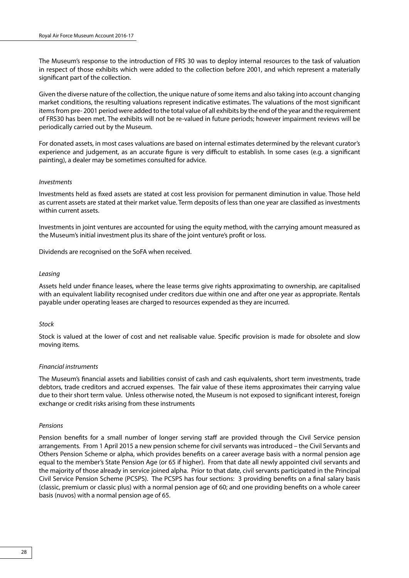The Museum's response to the introduction of FRS 30 was to deploy internal resources to the task of valuation in respect of those exhibits which were added to the collection before 2001, and which represent a materially significant part of the collection.

Given the diverse nature of the collection, the unique nature of some items and also taking into account changing market conditions, the resulting valuations represent indicative estimates. The valuations of the most significant items from pre- 2001 period were added to the total value of all exhibits by the end of the year and the requirement of FRS30 has been met. The exhibits will not be re-valued in future periods; however impairment reviews will be periodically carried out by the Museum.

For donated assets, in most cases valuations are based on internal estimates determined by the relevant curator's experience and judgement, as an accurate figure is very difficult to establish. In some cases (e.g. a significant painting), a dealer may be sometimes consulted for advice.

### *Investments*

Investments held as fixed assets are stated at cost less provision for permanent diminution in value. Those held as current assets are stated at their market value. Term deposits of less than one year are classified as investments within current assets.

Investments in joint ventures are accounted for using the equity method, with the carrying amount measured as the Museum's initial investment plus its share of the joint venture's profit or loss.

Dividends are recognised on the SoFA when received.

### *Leasing*

Assets held under finance leases, where the lease terms give rights approximating to ownership, are capitalised with an equivalent liability recognised under creditors due within one and after one year as appropriate. Rentals payable under operating leases are charged to resources expended as they are incurred.

#### *Stock*

Stock is valued at the lower of cost and net realisable value. Specific provision is made for obsolete and slow moving items.

### *Financial instruments*

The Museum's financial assets and liabilities consist of cash and cash equivalents, short term investments, trade debtors, trade creditors and accrued expenses. The fair value of these items approximates their carrying value due to their short term value. Unless otherwise noted, the Museum is not exposed to significant interest, foreign exchange or credit risks arising from these instruments

#### *Pensions*

Pension benefits for a small number of longer serving staff are provided through the Civil Service pension arrangements. From 1 April 2015 a new pension scheme for civil servants was introduced – the Civil Servants and Others Pension Scheme or alpha, which provides benefits on a career average basis with a normal pension age equal to the member's State Pension Age (or 65 if higher). From that date all newly appointed civil servants and the majority of those already in service joined alpha. Prior to that date, civil servants participated in the Principal Civil Service Pension Scheme (PCSPS). The PCSPS has four sections: 3 providing benefits on a final salary basis (classic, premium or classic plus) with a normal pension age of 60; and one providing benefits on a whole career basis (nuvos) with a normal pension age of 65.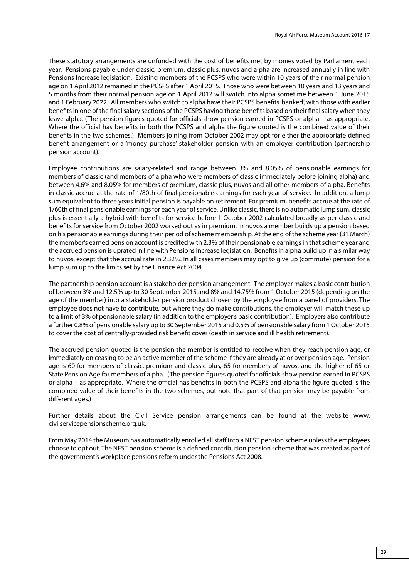These statutory arrangements are unfunded with the cost of benefits met by monies voted by Parliament each year. Pensions payable under classic, premium, classic plus, nuvos and alpha are increased annually in line with Pensions Increase legislation. Existing members of the PCSPS who were within 10 years of their normal pension age on 1 April 2012 remained in the PCSPS after 1 April 2015. Those who were between 10 years and 13 years and 5 months from their normal pension age on 1 April 2012 will switch into alpha sometime between 1 June 2015 and 1 February 2022. All members who switch to alpha have their PCSPS benefits 'banked', with those with earlier benefits in one of the final salary sections of the PCSPS having those benefits based on their final salary when they leave alpha. (The pension figures quoted for officials show pension earned in PCSPS or alpha – as appropriate. Where the official has benefits in both the PCSPS and alpha the figure quoted is the combined value of their benefits in the two schemes.) Members joining from October 2002 may opt for either the appropriate defined benefit arrangement or a 'money purchase' stakeholder pension with an employer contribution (partnership pension account).

Employee contributions are salary-related and range between 3% and 8.05% of pensionable earnings for members of classic (and members of alpha who were members of classic immediately before joining alpha) and between 4.6% and 8.05% for members of premium, classic plus, nuvos and all other members of alpha. Benefits in classic accrue at the rate of 1/80th of final pensionable earnings for each year of service. In addition, a lump sum equivalent to three years initial pension is payable on retirement. For premium, benefits accrue at the rate of 1/60th of final pensionable earnings for each year of service. Unlike classic, there is no automatic lump sum. classic plus is essentially a hybrid with benefits for service before 1 October 2002 calculated broadly as per classic and benefits for service from October 2002 worked out as in premium. In nuvos a member builds up a pension based on his pensionable earnings during their period of scheme membership. At the end of the scheme year (31 March) the member's earned pension account is credited with 2.3% of their pensionable earnings in that scheme year and the accrued pension is uprated in line with Pensions Increase legislation. Benefits in alpha build up in a similar way to nuvos, except that the accrual rate in 2.32%. In all cases members may opt to give up (commute) pension for a lump sum up to the limits set by the Finance Act 2004.

The partnership pension account is a stakeholder pension arrangement. The employer makes a basic contribution of between 3% and 12.5% up to 30 September 2015 and 8% and 14.75% from 1 October 2015 (depending on the age of the member) into a stakeholder pension product chosen by the employee from a panel of providers. The employee does not have to contribute, but where they do make contributions, the employer will match these up to a limit of 3% of pensionable salary (in addition to the employer's basic contribution). Employers also contribute a further 0.8% of pensionable salary up to 30 September 2015 and 0.5% of pensionable salary from 1 October 2015 to cover the cost of centrally-provided risk benefit cover (death in service and ill health retirement).

The accrued pension quoted is the pension the member is entitled to receive when they reach pension age, or immediately on ceasing to be an active member of the scheme if they are already at or over pension age. Pension age is 60 for members of classic, premium and classic plus, 65 for members of nuvos, and the higher of 65 or State Pension Age for members of alpha. (The pension figures quoted for officials show pension earned in PCSPS or alpha – as appropriate. Where the official has benefits in both the PCSPS and alpha the figure quoted is the combined value of their benefits in the two schemes, but note that part of that pension may be payable from different ages.)

Further details about the Civil Service pension arrangements can be found at the website www. civilservicepensionscheme.org.uk.

From May 2014 the Museum has automatically enrolled all staff into a NEST pension scheme unless the employees choose to opt out. The NEST pension scheme is a defined contribution pension scheme that was created as part of the government's workplace pensions reform under the Pensions Act 2008.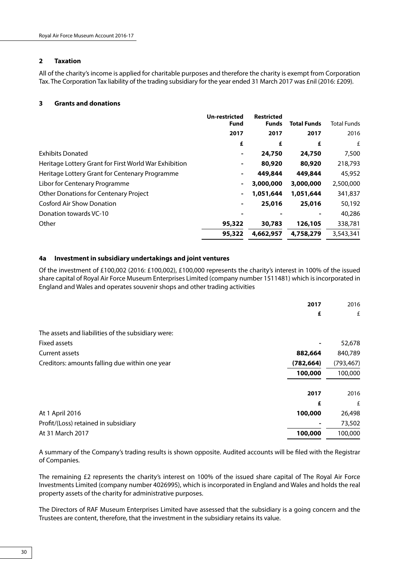### **2 Taxation**

All of the charity's income is applied for charitable purposes and therefore the charity is exempt from Corporation Tax. The Corporation Tax liability of the trading subsidiary for the year ended 31 March 2017 was £nil (2016: £209).

### **3 Grants and donations**

|                                                       | Un-restricted<br>Fund    | <b>Restricted</b><br><b>Funds</b> | <b>Total Funds</b> | <b>Total Funds</b> |
|-------------------------------------------------------|--------------------------|-----------------------------------|--------------------|--------------------|
|                                                       | 2017                     | 2017                              | 2017               | 2016               |
|                                                       | £                        | £                                 | £                  | £                  |
| <b>Exhibits Donated</b>                               | $\overline{\phantom{a}}$ | 24,750                            | 24,750             | 7,500              |
| Heritage Lottery Grant for First World War Exhibition |                          | 80,920                            | 80,920             | 218,793            |
| Heritage Lottery Grant for Centenary Programme        | ۰                        | 449,844                           | 449,844            | 45,952             |
| Libor for Centenary Programme                         | $\blacksquare$           | 3,000,000                         | 3,000,000          | 2,500,000          |
| <b>Other Donations for Centenary Project</b>          |                          | 1,051,644                         | 1,051,644          | 341,837            |
| <b>Cosford Air Show Donation</b>                      |                          | 25,016                            | 25,016             | 50,192             |
| Donation towards VC-10                                |                          |                                   |                    | 40,286             |
| Other                                                 | 95,322                   | 30,783                            | 126,105            | 338,781            |
|                                                       | 95,322                   | 4,662,957                         | 4,758,279          | 3,543,341          |

### **4a Investment in subsidiary undertakings and joint ventures**

Of the investment of £100,002 (2016: £100,002), £100,000 represents the charity's interest in 100% of the issued share capital of Royal Air Force Museum Enterprises Limited (company number 1511481) which is incorporated in England and Wales and operates souvenir shops and other trading activities

|                                                    | 2017       | 2016       |
|----------------------------------------------------|------------|------------|
|                                                    | £          | £          |
| The assets and liabilities of the subsidiary were: |            |            |
| Fixed assets                                       |            | 52,678     |
| Current assets                                     | 882,664    | 840,789    |
| Creditors: amounts falling due within one year     | (782, 664) | (793, 467) |
|                                                    | 100,000    | 100,000    |
|                                                    | 2017       | 2016       |
|                                                    | £          | £          |
| At 1 April 2016                                    | 100,000    | 26,498     |
| Profit/(Loss) retained in subsidiary               |            | 73,502     |
| At 31 March 2017                                   | 100,000    | 100,000    |

A summary of the Company's trading results is shown opposite. Audited accounts will be filed with the Registrar of Companies.

The remaining £2 represents the charity's interest on 100% of the issued share capital of The Royal Air Force Investments Limited (company number 4026995), which is incorporated in England and Wales and holds the real property assets of the charity for administrative purposes.

The Directors of RAF Museum Enterprises Limited have assessed that the subsidiary is a going concern and the Trustees are content, therefore, that the investment in the subsidiary retains its value.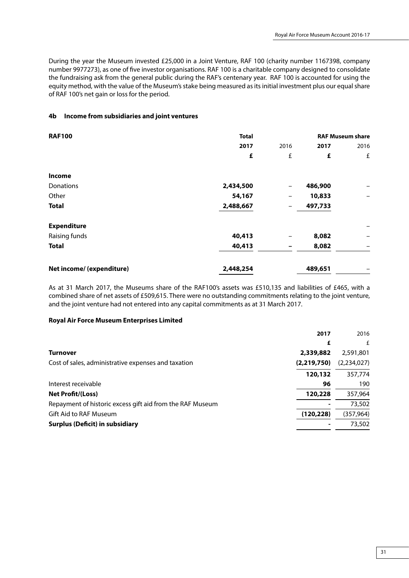During the year the Museum invested £25,000 in a Joint Venture, RAF 100 (charity number 1167398, company number 9977273), as one of five investor organisations. RAF 100 is a charitable company designed to consolidate the fundraising ask from the general public during the RAF's centenary year. RAF 100 is accounted for using the equity method, with the value of the Museum's stake being measured as its initial investment plus our equal share of RAF 100's net gain or loss for the period.

### **4b Income from subsidiaries and joint ventures**

| <b>RAF100</b>             | <b>Total</b> |      |         | <b>RAF Museum share</b> |
|---------------------------|--------------|------|---------|-------------------------|
|                           | 2017         | 2016 | 2017    | 2016                    |
|                           | £            | £    | £       | £                       |
| Income                    |              |      |         |                         |
| Donations                 | 2,434,500    | -    | 486,900 |                         |
| Other                     | 54,167       | -    | 10,833  |                         |
| <b>Total</b>              | 2,488,667    | -    | 497,733 |                         |
| <b>Expenditure</b>        |              |      |         |                         |
| Raising funds             | 40,413       | -    | 8,082   |                         |
| <b>Total</b>              | 40,413       | -    | 8,082   | -                       |
| Net income/ (expenditure) | 2,448,254    |      | 489,651 | -                       |

As at 31 March 2017, the Museums share of the RAF100's assets was £510,135 and liabilities of £465, with a combined share of net assets of £509,615. There were no outstanding commitments relating to the joint venture, and the joint venture had not entered into any capital commitments as at 31 March 2017.

### **Royal Air Force Museum Enterprises Limited**

|                                                           | 2017        | 2016        |
|-----------------------------------------------------------|-------------|-------------|
|                                                           | £           | £           |
| <b>Turnover</b>                                           | 2,339,882   | 2,591,801   |
| Cost of sales, administrative expenses and taxation       | (2,219,750) | (2,234,027) |
|                                                           | 120,132     | 357,774     |
| Interest receivable                                       | 96          | 190         |
| <b>Net Profit/(Loss)</b>                                  | 120,228     | 357,964     |
| Repayment of historic excess gift aid from the RAF Museum |             | 73,502      |
| Gift Aid to RAF Museum                                    | (120, 228)  | (357,964)   |
| <b>Surplus (Deficit) in subsidiary</b>                    |             | 73,502      |
|                                                           |             |             |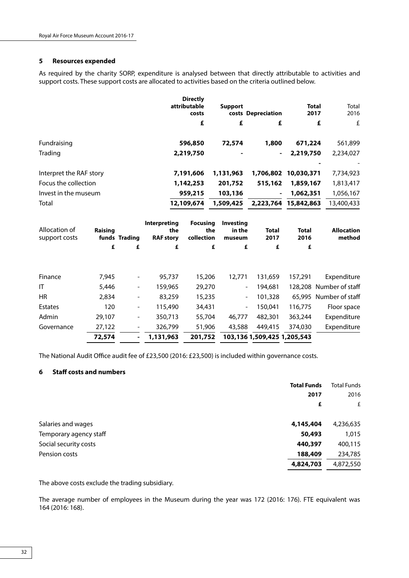### **5 Resources expended**

As required by the charity SORP, expenditure is analysed between that directly attributable to activities and support costs. These support costs are allocated to activities based on the criteria outlined below.

|                                |         |                          |                                                | <b>Directly</b><br>attributable<br>costs<br>£ | <b>Support</b><br>£                  | costs Depreciation<br>£ | <b>Total</b><br>2017 | Total<br>2016<br>£<br>£     |
|--------------------------------|---------|--------------------------|------------------------------------------------|-----------------------------------------------|--------------------------------------|-------------------------|----------------------|-----------------------------|
|                                |         |                          |                                                |                                               |                                      |                         |                      |                             |
| Fundraising                    |         |                          |                                                | 596,850                                       | 72,574                               | 1,800                   | 671,224              | 561,899                     |
| Trading                        |         |                          |                                                | 2,219,750                                     |                                      |                         | 2,219,750            | 2,234,027                   |
| Interpret the RAF story        |         |                          |                                                | 7,191,606                                     | 1,131,963                            | 1,706,802               | 10,030,371           | 7,734,923                   |
| Focus the collection           |         |                          |                                                | 1,142,253                                     | 201,752                              | 515,162                 | 1,859,167            | 1,813,417                   |
| Invest in the museum           |         |                          |                                                | 959,215                                       | 103,136                              |                         | 1,062,351            | 1,056,167                   |
| Total                          |         |                          |                                                | 12,109,674                                    | 1,509,425                            | 2,223,764               | 15,842,863           | 13,400,433                  |
| Allocation of<br>support costs | Raising | funds Trading            | <b>Interpreting</b><br>the<br><b>RAF story</b> | <b>Focusing</b><br>the<br>collection          | <b>Investing</b><br>in the<br>museum | <b>Total</b><br>2017    | <b>Total</b><br>2016 | <b>Allocation</b><br>method |
|                                | £       | £                        | £                                              |                                               | £<br>£                               | £                       | £                    |                             |
| Finance                        | 7,945   |                          | 95,737                                         | 15,206                                        | 12,771                               | 131,659                 | 157,291              | Expenditure                 |
| IT                             | 5,446   | $\overline{\phantom{a}}$ | 159,965                                        | 29,270                                        | $\overline{\phantom{a}}$             | 194,681                 |                      | 128,208 Number of staff     |
| <b>HR</b>                      | 2,834   |                          | 83,259                                         | 15,235                                        | $\overline{\phantom{a}}$             | 101,328                 |                      | 65,995 Number of staff      |
| <b>Estates</b>                 | 120     | $\blacksquare$           | 115,490                                        | 34,431                                        | $\overline{\phantom{a}}$             | 150,041                 | 116,775              | Floor space                 |

 **72,574 - 1,131,963 201,752 103,1361,509,425 1,205,543** 

The National Audit Office audit fee of £23,500 (2016: £23,500) is included within governance costs.

### **6 Staff costs and numbers**

|                        | <b>Total Funds</b> | <b>Total Funds</b> |
|------------------------|--------------------|--------------------|
|                        | 2017               | 2016               |
|                        | £                  | £                  |
| Salaries and wages     | 4,145,404          | 4,236,635          |
| Temporary agency staff | 50,493             | 1,015              |
| Social security costs  | 440,397            | 400,115            |
| Pension costs          | 188,409            | 234,785            |
|                        | 4,824,703          | 4,872,550          |
|                        |                    |                    |

Admin 29,107 - 350,713 55,704 46,777 482,301 363,244 Expenditure Governance 27,122 - 326,799 51,906 43,588 449,415 374,030 Expenditure

The above costs exclude the trading subsidiary.

The average number of employees in the Museum during the year was 172 (2016: 176). FTE equivalent was 164 (2016: 168).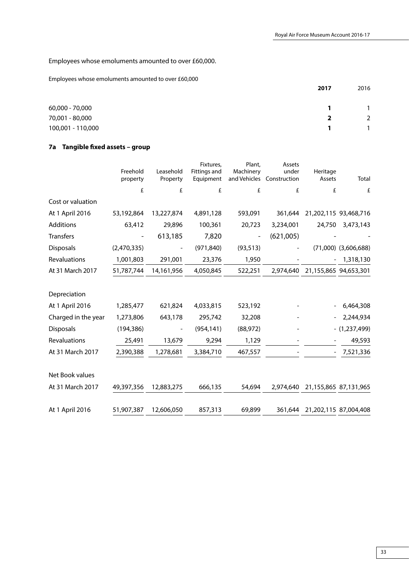Employees whose emoluments amounted to over £60,000.

Employees whose emoluments amounted to over £60,000

|                   | 2017 | 2016 |
|-------------------|------|------|
| 60,000 - 70,000   |      |      |
| 70,001 - 80,000   | ־י   | 2    |
| 100,001 - 110,000 |      |      |

## **7a Tangible fixed assets – group**

|                     |             |            | Fixtures,    | Plant,    | Assets                    |                                 |                          |
|---------------------|-------------|------------|--------------|-----------|---------------------------|---------------------------------|--------------------------|
|                     | Freehold    | Leasehold  | Fittings and | Machinery | under                     | Heritage                        |                          |
|                     | property    | Property   | Equipment    |           | and Vehicles Construction | Assets                          | Total                    |
|                     | £           | £          | £            | £         | £                         | £                               | £                        |
| Cost or valuation   |             |            |              |           |                           |                                 |                          |
| At 1 April 2016     | 53,192,864  | 13,227,874 | 4,891,128    | 593,091   | 361,644                   |                                 | 21,202,115 93,468,716    |
| Additions           | 63,412      | 29,896     | 100,361      | 20,723    | 3,234,001                 | 24,750                          | 3,473,143                |
| <b>Transfers</b>    |             | 613,185    | 7,820        |           | (621,005)                 |                                 |                          |
| <b>Disposals</b>    | (2,470,335) |            | (971, 840)   | (93, 513) |                           |                                 | $(71,000)$ $(3,606,688)$ |
| Revaluations        | 1,001,803   | 291,001    | 23,376       | 1,950     |                           |                                 | 1,318,130                |
| At 31 March 2017    | 51,787,744  | 14,161,956 | 4,050,845    | 522,251   | 2.974.640                 |                                 | 21,155,865 94,653,301    |
| Depreciation        |             |            |              |           |                           |                                 |                          |
| At 1 April 2016     | 1,285,477   | 621,824    | 4,033,815    | 523,192   |                           |                                 | 6,464,308                |
| Charged in the year | 1,273,806   | 643,178    | 295,742      | 32,208    |                           |                                 | 2,244,934                |
| <b>Disposals</b>    | (194, 386)  |            | (954, 141)   | (88, 972) |                           |                                 | $- (1,237,499)$          |
| Revaluations        | 25,491      | 13,679     | 9,294        | 1,129     |                           |                                 | 49,593                   |
| At 31 March 2017    | 2,390,388   | 1,278,681  | 3,384,710    | 467,557   |                           |                                 | 7,521,336                |
| Net Book values     |             |            |              |           |                           |                                 |                          |
| At 31 March 2017    | 49,397,356  | 12,883,275 | 666,135      | 54,694    |                           | 2,974,640 21,155,865 87,131,965 |                          |
| At 1 April 2016     | 51,907,387  | 12,606,050 | 857,313      | 69,899    | 361,644                   | 21,202,115 87,004,408           |                          |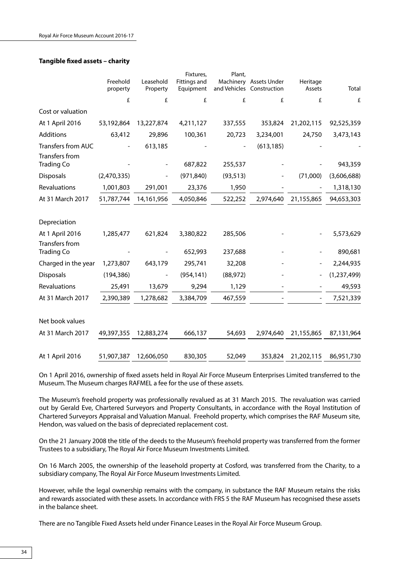### **Tangible fixed assets – charity**

|                                     |                      |                       | Fixtures,                 | Plant,    |                                                     |                    |             |
|-------------------------------------|----------------------|-----------------------|---------------------------|-----------|-----------------------------------------------------|--------------------|-------------|
|                                     | Freehold<br>property | Leasehold<br>Property | Fittings and<br>Equipment |           | Machinery Assets Under<br>and Vehicles Construction | Heritage<br>Assets | Total       |
|                                     | £                    | £                     | £                         | £         | £                                                   | £                  | $\pounds$   |
| Cost or valuation                   |                      |                       |                           |           |                                                     |                    |             |
| At 1 April 2016                     | 53,192,864           | 13,227,874            | 4,211,127                 | 337,555   | 353,824                                             | 21,202,115         | 92,525,359  |
| Additions                           | 63,412               | 29,896                | 100,361                   | 20,723    | 3,234,001                                           | 24,750             | 3,473,143   |
| <b>Transfers from AUC</b>           |                      | 613,185               |                           |           | (613, 185)                                          |                    |             |
| Transfers from<br><b>Trading Co</b> |                      |                       | 687,822                   | 255,537   |                                                     |                    | 943,359     |
| <b>Disposals</b>                    | (2,470,335)          |                       | (971, 840)                | (93, 513) |                                                     | (71,000)           | (3,606,688) |
| Revaluations                        | 1,001,803            | 291,001               | 23,376                    | 1,950     |                                                     |                    | 1,318,130   |
| At 31 March 2017                    | 51,787,744           | 14,161,956            | 4,050,846                 | 522,252   | 2,974,640                                           | 21,155,865         | 94,653,303  |
| Depreciation                        |                      |                       |                           |           |                                                     |                    |             |
| At 1 April 2016                     | 1,285,477            | 621,824               | 3,380,822                 | 285,506   |                                                     |                    | 5,573,629   |
| Transfers from<br><b>Trading Co</b> |                      |                       | 652,993                   | 237,688   |                                                     |                    | 890,681     |
| Charged in the year                 | 1,273,807            | 643,179               | 295,741                   | 32,208    |                                                     |                    | 2,244,935   |
| Disposals                           | (194, 386)           |                       | (954, 141)                | (88, 972) |                                                     |                    | (1,237,499) |
| Revaluations                        | 25,491               | 13,679                | 9,294                     | 1,129     |                                                     |                    | 49,593      |
| At 31 March 2017                    | 2,390,389            | 1,278,682             | 3,384,709                 | 467,559   |                                                     |                    | 7,521,339   |
| Net book values                     |                      |                       |                           |           |                                                     |                    |             |
| At 31 March 2017                    | 49,397,355           | 12,883,274            | 666,137                   | 54,693    | 2,974,640                                           | 21,155,865         | 87,131,964  |
| At 1 April 2016                     | 51,907,387           | 12,606,050            | 830,305                   | 52,049    | 353,824                                             | 21,202,115         | 86,951,730  |

On 1 April 2016, ownership of fixed assets held in Royal Air Force Museum Enterprises Limited transferred to the Museum. The Museum charges RAFMEL a fee for the use of these assets.

The Museum's freehold property was professionally revalued as at 31 March 2015. The revaluation was carried out by Gerald Eve, Chartered Surveyors and Property Consultants, in accordance with the Royal Institution of Chartered Surveyors Appraisal and Valuation Manual. Freehold property, which comprises the RAF Museum site, Hendon, was valued on the basis of depreciated replacement cost.

On the 21 January 2008 the title of the deeds to the Museum's freehold property was transferred from the former Trustees to a subsidiary, The Royal Air Force Museum Investments Limited.

On 16 March 2005, the ownership of the leasehold property at Cosford, was transferred from the Charity, to a subsidiary company, The Royal Air Force Museum Investments Limited.

However, while the legal ownership remains with the company, in substance the RAF Museum retains the risks and rewards associated with these assets. In accordance with FRS 5 the RAF Museum has recognised these assets in the balance sheet.

There are no Tangible Fixed Assets held under Finance Leases in the Royal Air Force Museum Group.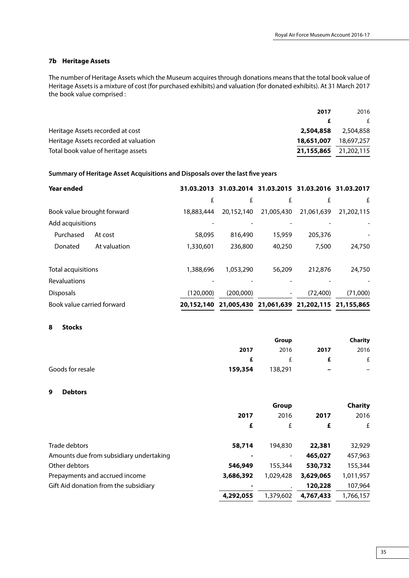### **7b Heritage Assets**

The number of Heritage Assets which the Museum acquires through donations means that the total book value of Heritage Assets is a mixture of cost (for purchased exhibits) and valuation (for donated exhibits). At 31 March 2017 the book value comprised :

| 2017                                                | 2016                  |
|-----------------------------------------------------|-----------------------|
|                                                     | f                     |
| Heritage Assets recorded at cost<br>2,504,858       | 2,504,858             |
| Heritage Assets recorded at valuation<br>18,651,007 | 18,697,257            |
| Total book value of heritage assets                 | 21,155,865 21,202,115 |

### **Summary of Heritage Asset Acquisitions and Disposals over the last five years**

| <b>Year ended</b>          |              |            |            | 31.03.2013 31.03.2014 31.03.2015 31.03.2016 31.03.2017 |            |            |
|----------------------------|--------------|------------|------------|--------------------------------------------------------|------------|------------|
|                            |              | £          | £          | £                                                      | £          | £          |
| Book value brought forward |              | 18,883,444 | 20.152.140 | 21,005,430                                             | 21.061.639 | 21,202,115 |
| Add acquisitions           |              |            |            |                                                        |            |            |
| Purchased                  | At cost      | 58,095     | 816,490    | 15,959                                                 | 205,376    |            |
| Donated                    | At valuation | 1,330,601  | 236,800    | 40,250                                                 | 7,500      | 24,750     |
| <b>Total acquisitions</b>  |              | 1,388,696  | 1,053,290  | 56,209                                                 | 212,876    | 24,750     |
| <b>Revaluations</b>        |              |            |            |                                                        |            |            |
| <b>Disposals</b>           |              | (120.000)  | (200.000)  | -                                                      | (72,400)   | (71,000)   |
| Book value carried forward |              | 20,152,140 |            | 21,005,430 21,061,639 21,202,115 21,155,865            |            |            |

### **8 Stocks**

|                  |         | Group                |                          |                          |
|------------------|---------|----------------------|--------------------------|--------------------------|
|                  | 2017    | 2016                 | 2017                     | 2016                     |
|                  | æ.      | $\ddot{\phantom{1}}$ |                          | £                        |
| Goods for resale | 159,354 | 138,291              | $\overline{\phantom{0}}$ | $\overline{\phantom{0}}$ |

#### **9 Debtors**

|                                         |           | Group     |           | <b>Charity</b> |
|-----------------------------------------|-----------|-----------|-----------|----------------|
|                                         | 2017      | 2016      | 2017      | 2016           |
|                                         | £         | £         | £         | £              |
| Trade debtors                           | 58,714    | 194,830   | 22,381    | 32,929         |
| Amounts due from subsidiary undertaking |           | -         | 465,027   | 457,963        |
| Other debtors                           | 546,949   | 155,344   | 530,732   | 155,344        |
| Prepayments and accrued income          | 3,686,392 | 1,029,428 | 3,629,065 | 1,011,957      |
| Gift Aid donation from the subsidiary   |           | $\bullet$ | 120,228   | 107,964        |
|                                         | 4,292,055 | 1,379,602 | 4,767,433 | 1.766.157      |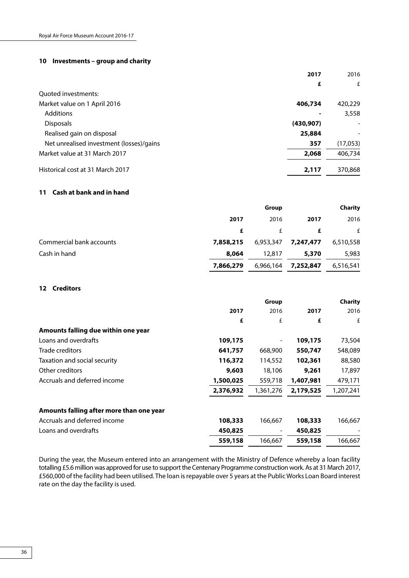### **10 Investments – group and charity**

|                                          | 2017       | 2016     |
|------------------------------------------|------------|----------|
|                                          | £          | £        |
| Quoted investments:                      |            |          |
| Market value on 1 April 2016             | 406,734    | 420,229  |
| Additions                                |            | 3,558    |
| <b>Disposals</b>                         | (430, 907) |          |
| Realised gain on disposal                | 25,884     |          |
| Net unrealised investment (losses)/gains | 357        | (17,053) |
| Market value at 31 March 2017            | 2,068      | 406,734  |
| Historical cost at 31 March 2017         | 2,117      | 370,868  |

### **11 Cash at bank and in hand**

|                          |           | Group     |           | <b>Charity</b> |
|--------------------------|-----------|-----------|-----------|----------------|
|                          | 2017      | 2016      | 2017      | 2016           |
|                          | £         |           | £         | £              |
| Commercial bank accounts | 7,858,215 | 6,953,347 | 7,247,477 | 6,510,558      |
| Cash in hand             | 8,064     | 12,817    | 5,370     | 5,983          |
|                          | 7,866,279 | 6,966,164 | 7,252,847 | 6,516,541      |

### **12 Creditors**

|                                          |           | Group     |           | Charity   |
|------------------------------------------|-----------|-----------|-----------|-----------|
|                                          | 2017      | 2016      | 2017      | 2016      |
|                                          | £         | £         | £         | £         |
| Amounts falling due within one year      |           |           |           |           |
| Loans and overdrafts                     | 109,175   |           | 109,175   | 73,504    |
| Trade creditors                          | 641,757   | 668,900   | 550,747   | 548,089   |
| Taxation and social security             | 116,372   | 114,552   | 102,361   | 88,580    |
| Other creditors                          | 9,603     | 18,106    | 9,261     | 17,897    |
| Accruals and deferred income             | 1,500,025 | 559,718   | 1,407,981 | 479,171   |
|                                          | 2,376,932 | 1,361,276 | 2,179,525 | 1,207,241 |
| Amounts falling after more than one year |           |           |           |           |
| Accruals and deferred income             | 108,333   | 166,667   | 108,333   | 166,667   |
| Loans and overdrafts                     | 450,825   | -         | 450,825   |           |
|                                          | 559,158   | 166.667   | 559,158   | 166,667   |

During the year, the Museum entered into an arrangement with the Ministry of Defence whereby a loan facility totalling £5.6 million was approved for use to support the Centenary Programme construction work. As at 31 March 2017, £560,000 of the facility had been utilised. The loan is repayable over 5 years at the Public Works Loan Board interest rate on the day the facility is used.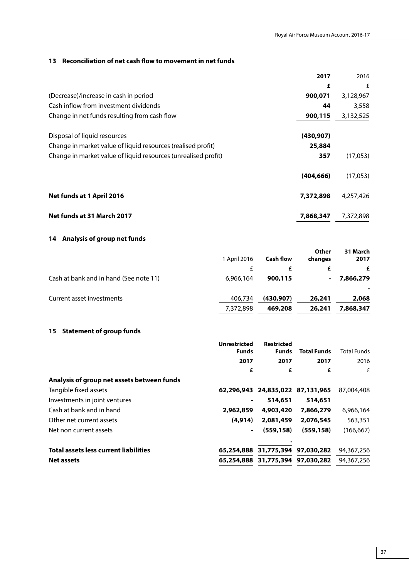## **13 Reconciliation of net cash flow to movement in net funds**

| 2017                                                                   | 2016      |
|------------------------------------------------------------------------|-----------|
| £                                                                      | £         |
| (Decrease)/increase in cash in period<br>900,071                       | 3,128,967 |
| Cash inflow from investment dividends<br>44                            | 3,558     |
| Change in net funds resulting from cash flow<br>900,115                | 3,132,525 |
| Disposal of liquid resources<br>(430, 907)                             |           |
| Change in market value of liquid resources (realised profit)<br>25,884 |           |
| Change in market value of liquid resources (unrealised profit)<br>357  | (17,053)  |
| (404, 666)                                                             | (17,053)  |
| Net funds at 1 April 2016<br>7,372,898                                 | 4,257,426 |
| Net funds at 31 March 2017<br>7,868,347                                | 7,372,898 |

## **14 Analysis of group net funds**

|                                        | 1 April 2016 | <b>Cash flow</b> | Other<br>changes | 31 March<br>2017 |
|----------------------------------------|--------------|------------------|------------------|------------------|
|                                        |              | £                | £                | £                |
| Cash at bank and in hand (See note 11) | 6,966,164    | 900,115          | $\blacksquare$   | 7,866,279        |
| Current asset investments              | 406,734      | (430, 907)       | 26,241           | 2,068            |
|                                        | 7,372,898    | 469,208          | 26,241           | 7,868,347        |

## **15 Statement of group funds**

|                                              | <b>Unrestricted</b><br><b>Funds</b> | <b>Restricted</b><br><b>Funds</b> | <b>Total Funds</b> | Total Funds |
|----------------------------------------------|-------------------------------------|-----------------------------------|--------------------|-------------|
|                                              | 2017                                | 2017                              | 2017               | 2016        |
|                                              | £                                   | £                                 | £                  | £           |
| Analysis of group net assets between funds   |                                     |                                   |                    |             |
| Tangible fixed assets                        |                                     | 62,296,943 24,835,022 87,131,965  |                    | 87,004,408  |
| Investments in joint ventures                |                                     | 514,651                           | 514,651            |             |
| Cash at bank and in hand                     | 2,962,859                           | 4,903,420                         | 7,866,279          | 6,966,164   |
| Other net current assets                     | (4.914)                             | 2,081,459                         | 2,076,545          | 563,351     |
| Net non current assets                       |                                     | (559, 158)                        | (559, 158)         | (166, 667)  |
|                                              |                                     |                                   |                    |             |
| <b>Total assets less current liabilities</b> |                                     | 65,254,888 31,775,394 97,030,282  |                    | 94,367,256  |
| <b>Net assets</b>                            |                                     | 65,254,888 31,775,394 97,030,282  |                    | 94,367,256  |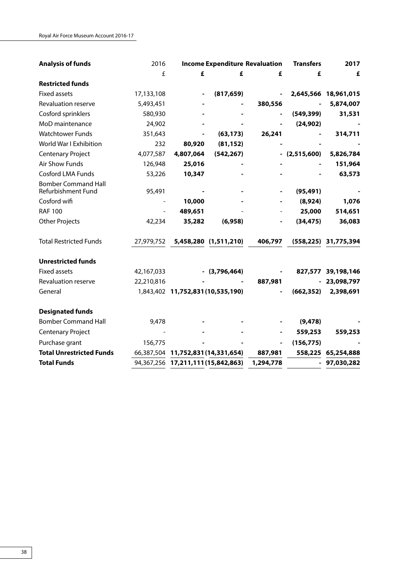| <b>Analysis of funds</b>                         | 2016                     | <b>Income Expenditure Revaluation</b> |                                    |           | <b>Transfers</b>         | 2017                 |
|--------------------------------------------------|--------------------------|---------------------------------------|------------------------------------|-----------|--------------------------|----------------------|
|                                                  | £                        | £                                     | £                                  | £         | £                        | £                    |
| <b>Restricted funds</b>                          |                          |                                       |                                    |           |                          |                      |
| <b>Fixed assets</b>                              | 17,133,108               | $\qquad \qquad \blacksquare$          | (817, 659)                         |           |                          | 2,645,566 18,961,015 |
| Revaluation reserve                              | 5,493,451                |                                       |                                    | 380,556   |                          | 5,874,007            |
| Cosford sprinklers                               | 580,930                  |                                       |                                    |           | (549, 399)               | 31,531               |
| MoD maintenance                                  | 24,902                   |                                       |                                    |           | (24, 902)                |                      |
| <b>Watchtower Funds</b>                          | 351,643                  |                                       | (63, 173)                          | 26,241    |                          | 314,711              |
| World War I Exhibition                           | 232                      | 80,920                                | (81, 152)                          |           |                          |                      |
| <b>Centenary Project</b>                         | 4,077,587                | 4,807,064                             | (542, 267)                         |           | $-$ (2,515,600)          | 5,826,784            |
| <b>Air Show Funds</b>                            | 126,948                  | 25,016                                |                                    |           |                          | 151,964              |
| <b>Cosford LMA Funds</b>                         | 53,226                   | 10,347                                |                                    |           |                          | 63,573               |
| <b>Bomber Command Hall</b><br>Refurbishment Fund | 95,491                   |                                       |                                    |           | (95, 491)                |                      |
| Cosford wifi                                     | $\overline{\phantom{a}}$ | 10,000                                |                                    |           | (8,924)                  | 1,076                |
| <b>RAF 100</b>                                   |                          | 489,651                               |                                    |           | 25,000                   | 514,651              |
| <b>Other Projects</b>                            | 42,234                   | 35,282                                | (6,958)                            |           | (34, 475)                | 36,083               |
| <b>Total Restricted Funds</b>                    | 27,979,752               |                                       | 5,458,280 (1,511,210)              | 406,797   | (558, 225)               | 31,775,394           |
| <b>Unrestricted funds</b>                        |                          |                                       |                                    |           |                          |                      |
| <b>Fixed assets</b>                              | 42,167,033               |                                       | $-$ (3,796,464)                    |           |                          | 827,577 39,198,146   |
| Revaluation reserve                              | 22,210,816               |                                       |                                    | 887,981   |                          | $-23,098,797$        |
| General                                          |                          |                                       | 1,843,402 11,752,831 (10,535,190)  |           | (662, 352)               | 2,398,691            |
| <b>Designated funds</b>                          |                          |                                       |                                    |           |                          |                      |
| <b>Bomber Command Hall</b>                       | 9,478                    |                                       |                                    |           | (9, 478)                 |                      |
| <b>Centenary Project</b>                         |                          |                                       |                                    |           | 559,253                  | 559,253              |
| Purchase grant                                   | 156,775                  |                                       |                                    |           | (156, 775)               |                      |
| <b>Total Unrestricted Funds</b>                  |                          |                                       | 66,387,504 11,752,831 (14,331,654) | 887,981   | 558,225                  | 65,254,888           |
| <b>Total Funds</b>                               |                          |                                       | 94,367,256 17,211,111(15,842,863)  | 1,294,778 | $\overline{\phantom{0}}$ | 97,030,282           |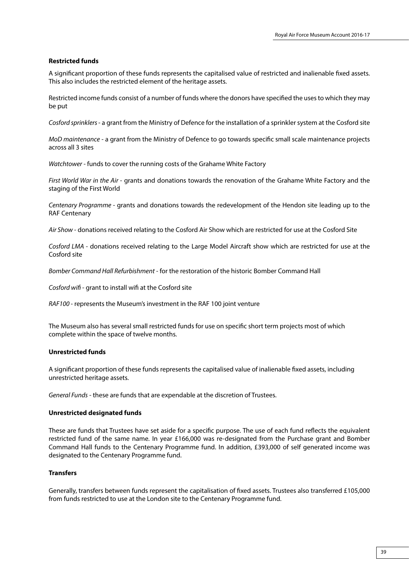#### **Restricted funds**

A significant proportion of these funds represents the capitalised value of restricted and inalienable fixed assets. This also includes the restricted element of the heritage assets.

Restricted income funds consist of a number of funds where the donors have specified the uses to which they may be put

*Cosford sprinklers* - a grant from the Ministry of Defence for the installation of a sprinkler system at the Cosford site

*MoD maintenance* - a grant from the Ministry of Defence to go towards specific small scale maintenance projects across all 3 sites

*Watchtower* - funds to cover the running costs of the Grahame White Factory

*First World War in the Air* - grants and donations towards the renovation of the Grahame White Factory and the staging of the First World

*Centenary Programme* - grants and donations towards the redevelopment of the Hendon site leading up to the RAF Centenary

*Air Show* - donations received relating to the Cosford Air Show which are restricted for use at the Cosford Site

*Cosford LMA -* donations received relating to the Large Model Aircraft show which are restricted for use at the Cosford site

*Bomber Command Hall Refurbishment* - for the restoration of the historic Bomber Command Hall

*Cosford wifi* - grant to install wifi at the Cosford site

*RAF100* - represents the Museum's investment in the RAF 100 joint venture

The Museum also has several small restricted funds for use on specific short term projects most of which complete within the space of twelve months.

### **Unrestricted funds**

A significant proportion of these funds represents the capitalised value of inalienable fixed assets, including unrestricted heritage assets.

*General Funds* - these are funds that are expendable at the discretion of Trustees.

#### **Unrestricted designated funds**

These are funds that Trustees have set aside for a specific purpose. The use of each fund reflects the equivalent restricted fund of the same name. In year £166,000 was re-designated from the Purchase grant and Bomber Command Hall funds to the Centenary Programme fund. In addition, £393,000 of self generated income was designated to the Centenary Programme fund.

### **Transfers**

Generally, transfers between funds represent the capitalisation of fixed assets. Trustees also transferred £105,000 from funds restricted to use at the London site to the Centenary Programme fund.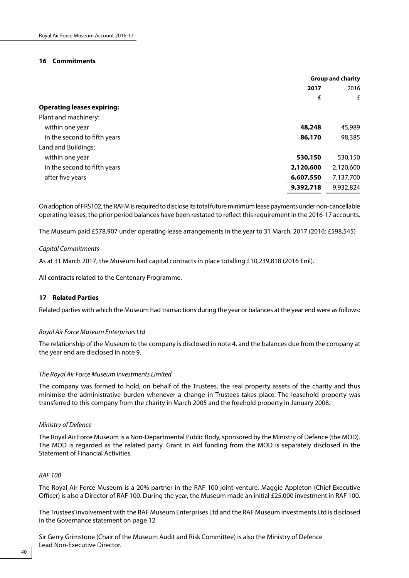#### **16 Commitments**

|                                   |           | <b>Group and charity</b> |  |
|-----------------------------------|-----------|--------------------------|--|
|                                   | 2017      | 2016                     |  |
|                                   | £         | £                        |  |
| <b>Operating leases expiring:</b> |           |                          |  |
| Plant and machinery:              |           |                          |  |
| within one year                   | 48,248    | 45,989                   |  |
| in the second to fifth years      | 86,170    | 98,385                   |  |
| Land and Buildings:               |           |                          |  |
| within one year                   | 530,150   | 530,150                  |  |
| in the second to fifth years      | 2,120,600 | 2,120,600                |  |
| after five years                  | 6,607,550 | 7,137,700                |  |
|                                   | 9,392,718 | 9,932,824                |  |
|                                   |           |                          |  |

On adoption of FRS102, the RAFM is required to disclose its total future minimum lease payments under non-cancellable operating leases, the prior period balances have been restated to reflect this requirement in the 2016-17 accounts.

The Museum paid £578,907 under operating lease arrangements in the year to 31 March, 2017 (2016: £598,545)

### *Capital Commitments*

As at 31 March 2017, the Museum had capital contracts in place totalling £10,239,818 (2016 £nil).

All contracts related to the Centenary Programme.

### **17 Related Parties**

Related parties with which the Museum had transactions during the year or balances at the year end were as follows:

#### *Royal Air Force Museum Enterprises Ltd*

The relationship of the Museum to the company is disclosed in note 4, and the balances due from the company at the year end are disclosed in note 9.

### *The Royal Air Force Museum Investments Limited*

The company was formed to hold, on behalf of the Trustees, the real property assets of the charity and thus minimise the administrative burden whenever a change in Trustees takes place. The leasehold property was transferred to this company from the charity in March 2005 and the freehold property in January 2008.

#### *Ministry of Defence*

The Royal Air Force Museum is a Non-Departmental Public Body, sponsored by the Ministry of Defence (the MOD). The MOD is regarded as the related party. Grant in Aid funding from the MOD is separately disclosed in the Statement of Financial Activities.

#### *RAF 100*

The Royal Air Force Museum is a 20% partner in the RAF 100 joint venture. Maggie Appleton (Chief Executive Officer) is also a Director of RAF 100. During the year, the Museum made an initial £25,000 investment in RAF 100.

The Trustees' involvement with the RAF Museum Enterprises Ltd and the RAF Museum Investments Ltd is disclosed in the Governance statement on page 12

Sir Gerry Grimstone (Chair of the Museum Audit and Risk Committee) is also the Ministry of Defence Lead Non-Executive Director.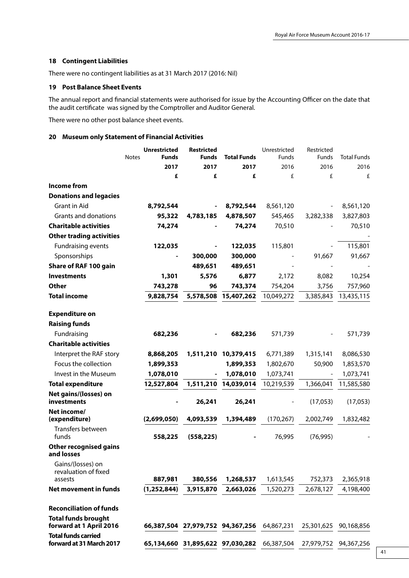### **18 Contingent Liabilities**

There were no contingent liabilities as at 31 March 2017 (2016: Nil)

### **19 Post Balance Sheet Events**

The annual report and financial statements were authorised for issue by the Accounting Officer on the date that the audit certificate was signed by the Comptroller and Auditor General.

There were no other post balance sheet events.

### **20 Museum only Statement of Financial Activities**

|                                                        | <b>Unrestricted</b><br><b>Notes</b><br><b>Funds</b> | <b>Restricted</b><br><b>Funds</b> | <b>Total Funds</b>   | Unrestricted<br>Funds | Restricted<br>Funds | <b>Total Funds</b>    |
|--------------------------------------------------------|-----------------------------------------------------|-----------------------------------|----------------------|-----------------------|---------------------|-----------------------|
|                                                        | 2017                                                | 2017                              | 2017                 | 2016                  | 2016                | 2016                  |
|                                                        | £                                                   | £                                 | £                    | £                     | £                   | £                     |
| <b>Income from</b>                                     |                                                     |                                   |                      |                       |                     |                       |
| <b>Donations and legacies</b>                          |                                                     |                                   |                      |                       |                     |                       |
| Grant in Aid                                           | 8,792,544                                           |                                   | 8,792,544            | 8,561,120             |                     | 8,561,120             |
| Grants and donations                                   | 95,322                                              | 4,783,185                         | 4,878,507            | 545,465               | 3,282,338           | 3,827,803             |
| <b>Charitable activities</b>                           | 74,274                                              |                                   | 74,274               | 70,510                |                     | 70,510                |
| <b>Other trading activities</b>                        |                                                     |                                   |                      |                       |                     |                       |
| <b>Fundraising events</b>                              | 122,035                                             |                                   | 122,035              | 115,801               |                     | 115,801               |
| Sponsorships                                           |                                                     | 300,000                           | 300,000              |                       | 91,667              | 91,667                |
| Share of RAF 100 gain                                  |                                                     | 489,651                           | 489,651              |                       |                     |                       |
| <b>Investments</b>                                     | 1,301                                               | 5,576                             | 6,877                | 2,172                 | 8,082               | 10,254                |
| <b>Other</b>                                           | 743,278                                             | 96                                | 743,374              | 754,204               | 3,756               | 757,960               |
| <b>Total income</b>                                    | 9,828,754                                           | 5,578,508                         | 15,407,262           | 10,049,272            | 3,385,843           | 13,435,115            |
|                                                        |                                                     |                                   |                      |                       |                     |                       |
| <b>Expenditure on</b>                                  |                                                     |                                   |                      |                       |                     |                       |
| <b>Raising funds</b>                                   |                                                     |                                   |                      |                       |                     |                       |
| Fundraising                                            | 682,236                                             |                                   | 682,236              | 571,739               |                     | 571,739               |
| <b>Charitable activities</b>                           |                                                     |                                   |                      |                       |                     |                       |
| Interpret the RAF story                                | 8,868,205                                           |                                   | 1,511,210 10,379,415 | 6,771,389             | 1,315,141           | 8,086,530             |
| Focus the collection                                   | 1,899,353                                           |                                   | 1,899,353            | 1,802,670             | 50,900              | 1,853,570             |
| Invest in the Museum                                   | 1,078,010                                           |                                   | 1,078,010            | 1,073,741             |                     | 1,073,741             |
| <b>Total expenditure</b>                               | 12,527,804                                          | 1,511,210                         | 14,039,014           | 10,219,539            | 1,366,041           | 11,585,580            |
| Net gains/(losses) on<br>investments                   |                                                     | 26,241                            | 26,241               |                       | (17,053)            | (17,053)              |
| Net income/                                            |                                                     |                                   |                      |                       |                     |                       |
| (expenditure)                                          | (2,699,050)                                         | 4,093,539                         | 1,394,489            | (170, 267)            | 2,002,749           | 1,832,482             |
| Transfers between<br>funds                             | 558,225                                             | (558, 225)                        |                      | 76,995                | (76, 995)           |                       |
| <b>Other recognised gains</b><br>and losses            |                                                     |                                   |                      |                       |                     |                       |
| Gains/(losses) on<br>revaluation of fixed              |                                                     |                                   |                      |                       |                     |                       |
| assests                                                | 887,981                                             | 380,556                           | 1,268,537            | 1,613,545             | 752,373             | 2,365,918             |
| <b>Net movement in funds</b>                           | (1, 252, 844)                                       | 3,915,870                         | 2,663,026            | 1,520,273             | 2,678,127           | 4,198,400             |
| <b>Reconciliation of funds</b>                         |                                                     |                                   |                      |                       |                     |                       |
| <b>Total funds brought</b>                             |                                                     |                                   |                      |                       |                     |                       |
| forward at 1 April 2016                                |                                                     | 66,387,504 27,979,752 94,367,256  |                      | 64,867,231            | 25,301,625          | 90,168,856            |
| <b>Total funds carried</b><br>forward at 31 March 2017 |                                                     | 65,134,660 31,895,622 97,030,282  |                      | 66,387,504            |                     | 27,979,752 94,367,256 |
|                                                        |                                                     |                                   |                      |                       |                     |                       |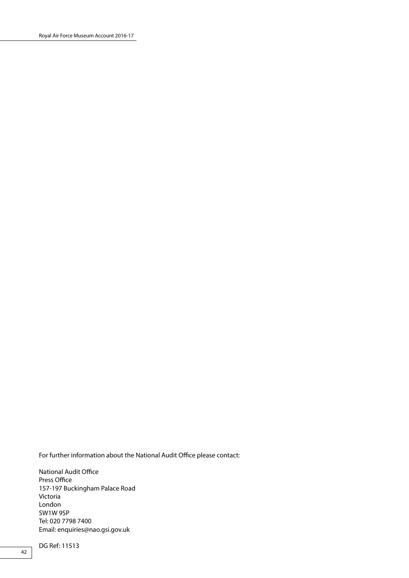For further information about the National Audit Office please contact:

National Audit Office Press Office 157-197 Buckingham Palace Road Victoria London SW1W 9SP Tel: 020 7798 7400 Email: enquiries@nao.gsi.gov.uk

DG Ref: 11513